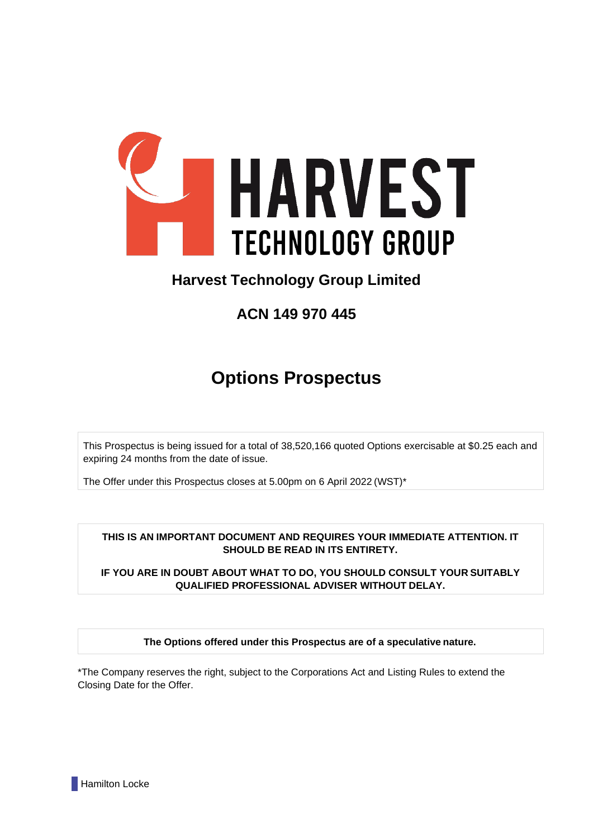

## **Harvest Technology Group Limited**

**ACN 149 970 445**

# **Options Prospectus**

This Prospectus is being issued for a total of 38,520,166 quoted Options exercisable at \$0.25 each and expiring 24 months from the date of issue.

The Offer under this Prospectus closes at 5.00pm on 6 April 2022 (WST)\*

**THIS IS AN IMPORTANT DOCUMENT AND REQUIRES YOUR IMMEDIATE ATTENTION. IT SHOULD BE READ IN ITS ENTIRETY.**

**IF YOU ARE IN DOUBT ABOUT WHAT TO DO, YOU SHOULD CONSULT YOUR SUITABLY QUALIFIED PROFESSIONAL ADVISER WITHOUT DELAY.**

**The Options offered under this Prospectus are of a speculative nature.**

\*The Company reserves the right, subject to the Corporations Act and Listing Rules to extend the Closing Date for the Offer.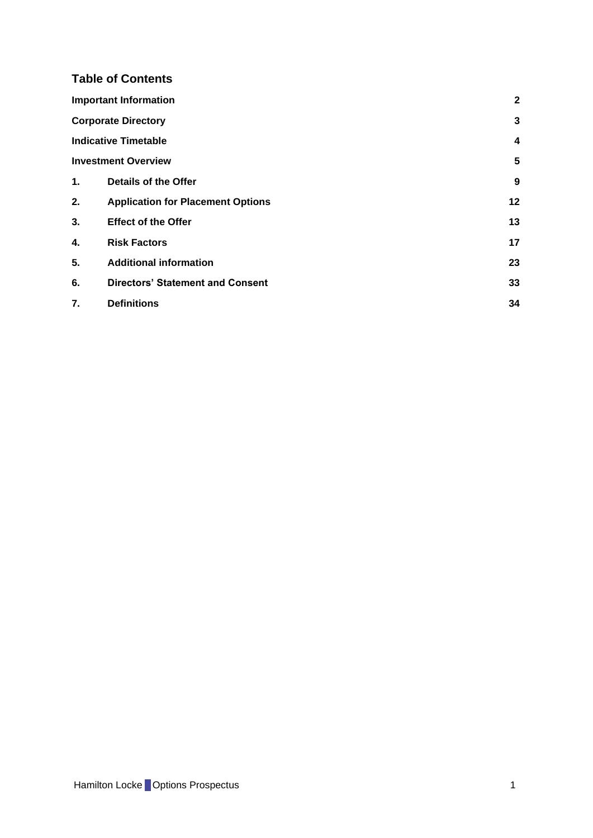## **Table of Contents**

|    | <b>Important Information</b>             | $\mathbf{2}$            |
|----|------------------------------------------|-------------------------|
|    | <b>Corporate Directory</b>               | 3                       |
|    | <b>Indicative Timetable</b>              | $\overline{\mathbf{4}}$ |
|    | <b>Investment Overview</b>               | 5                       |
| 1. | <b>Details of the Offer</b>              | 9                       |
| 2. | <b>Application for Placement Options</b> | 12                      |
| 3. | <b>Effect of the Offer</b>               | 13                      |
| 4. | <b>Risk Factors</b>                      | 17                      |
| 5. | <b>Additional information</b>            | 23                      |
| 6. | <b>Directors' Statement and Consent</b>  | 33                      |
| 7. | <b>Definitions</b>                       | 34                      |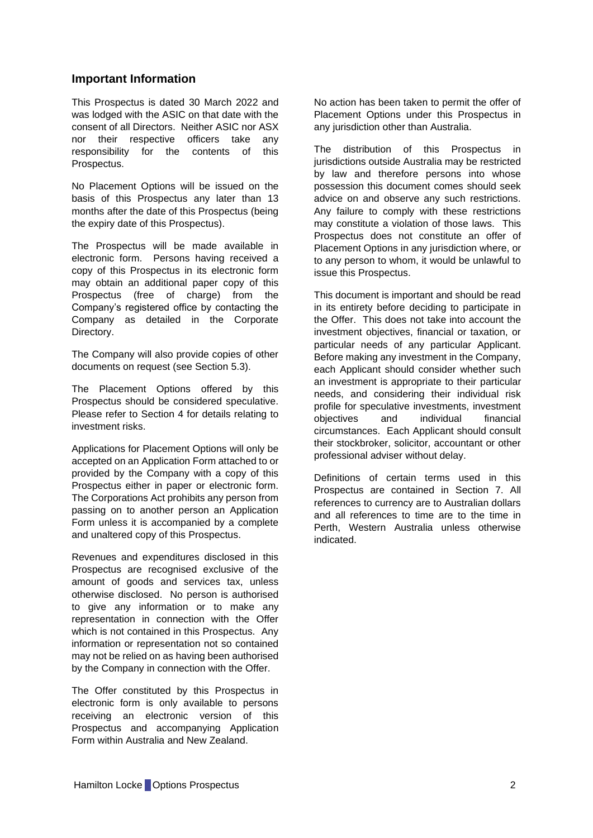## <span id="page-2-0"></span>**Important Information**

This Prospectus is dated 30 March 2022 and was lodged with the ASIC on that date with the consent of all Directors. Neither ASIC nor ASX nor their respective officers take any responsibility for the contents of this Prospectus.

No Placement Options will be issued on the basis of this Prospectus any later than 13 months after the date of this Prospectus (being the expiry date of this Prospectus).

The Prospectus will be made available in electronic form. Persons having received a copy of this Prospectus in its electronic form may obtain an additional paper copy of this Prospectus (free of charge) from the Company's registered office by contacting the Company as detailed in the Corporate Directory.

The Company will also provide copies of other documents on request (see Section [5.3\)](#page-26-0).

The Placement Options offered by this Prospectus should be considered speculative. Please refer to Section [4](#page-17-0) for details relating to investment risks.

Applications for Placement Options will only be accepted on an Application Form attached to or provided by the Company with a copy of this Prospectus either in paper or electronic form. The Corporations Act prohibits any person from passing on to another person an Application Form unless it is accompanied by a complete and unaltered copy of this Prospectus.

Revenues and expenditures disclosed in this Prospectus are recognised exclusive of the amount of goods and services tax, unless otherwise disclosed. No person is authorised to give any information or to make any representation in connection with the Offer which is not contained in this Prospectus. Any information or representation not so contained may not be relied on as having been authorised by the Company in connection with the Offer.

The Offer constituted by this Prospectus in electronic form is only available to persons receiving an electronic version of this Prospectus and accompanying Application Form within Australia and New Zealand.

No action has been taken to permit the offer of Placement Options under this Prospectus in any jurisdiction other than Australia.

The distribution of this Prospectus in jurisdictions outside Australia may be restricted by law and therefore persons into whose possession this document comes should seek advice on and observe any such restrictions. Any failure to comply with these restrictions may constitute a violation of those laws. This Prospectus does not constitute an offer of Placement Options in any jurisdiction where, or to any person to whom, it would be unlawful to issue this Prospectus.

This document is important and should be read in its entirety before deciding to participate in the Offer. This does not take into account the investment objectives, financial or taxation, or particular needs of any particular Applicant. Before making any investment in the Company, each Applicant should consider whether such an investment is appropriate to their particular needs, and considering their individual risk profile for speculative investments, investment objectives and individual financial circumstances. Each Applicant should consult their stockbroker, solicitor, accountant or other professional adviser without delay.

Definitions of certain terms used in this Prospectus are contained in Section [7.](#page-34-0) All references to currency are to Australian dollars and all references to time are to the time in Perth, Western Australia unless otherwise indicated.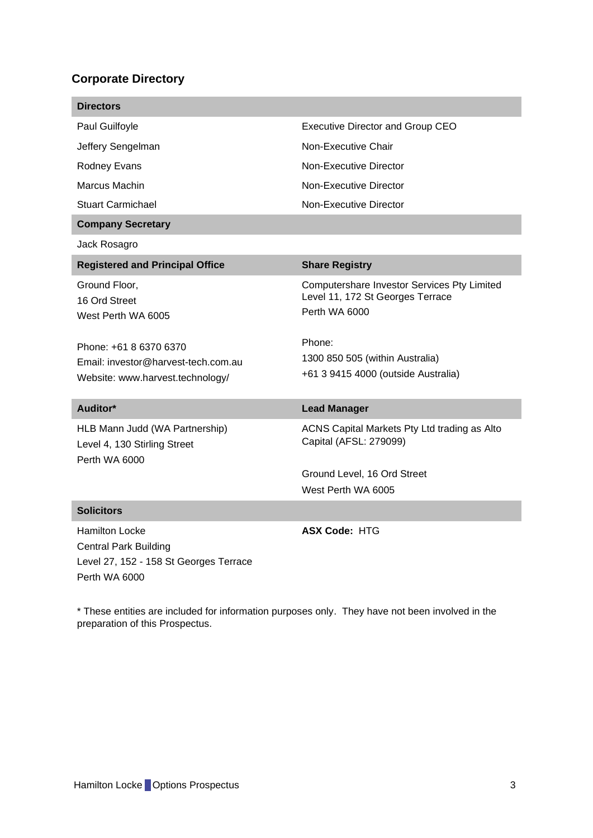## <span id="page-3-0"></span>**Corporate Directory**

| <b>Directors</b>                                                                                                                                          |                                                                                                                                                                                      |
|-----------------------------------------------------------------------------------------------------------------------------------------------------------|--------------------------------------------------------------------------------------------------------------------------------------------------------------------------------------|
| Paul Guilfoyle                                                                                                                                            | <b>Executive Director and Group CEO</b>                                                                                                                                              |
| Jeffery Sengelman                                                                                                                                         | Non-Executive Chair                                                                                                                                                                  |
| Rodney Evans                                                                                                                                              | Non-Executive Director                                                                                                                                                               |
| Marcus Machin                                                                                                                                             | Non-Executive Director                                                                                                                                                               |
| <b>Stuart Carmichael</b>                                                                                                                                  | Non-Executive Director                                                                                                                                                               |
| <b>Company Secretary</b>                                                                                                                                  |                                                                                                                                                                                      |
| Jack Rosagro                                                                                                                                              |                                                                                                                                                                                      |
| <b>Registered and Principal Office</b>                                                                                                                    | <b>Share Registry</b>                                                                                                                                                                |
| Ground Floor,<br>16 Ord Street<br>West Perth WA 6005<br>Phone: +61 8 6370 6370<br>Email: investor@harvest-tech.com.au<br>Website: www.harvest.technology/ | Computershare Investor Services Pty Limited<br>Level 11, 172 St Georges Terrace<br>Perth WA 6000<br>Phone:<br>1300 850 505 (within Australia)<br>+61 3 9415 4000 (outside Australia) |
| Auditor*                                                                                                                                                  | <b>Lead Manager</b>                                                                                                                                                                  |
| HLB Mann Judd (WA Partnership)<br>Level 4, 130 Stirling Street<br>Perth WA 6000                                                                           | ACNS Capital Markets Pty Ltd trading as Alto<br>Capital (AFSL: 279099)<br>Ground Level, 16 Ord Street<br>West Perth WA 6005                                                          |
| <b>Solicitors</b>                                                                                                                                         |                                                                                                                                                                                      |
| <b>Hamilton Locke</b><br><b>Central Park Building</b><br>Level 27, 152 - 158 St Georges Terrace<br><b>Perth WA 6000</b>                                   | <b>ASX Code: HTG</b>                                                                                                                                                                 |

\* These entities are included for information purposes only. They have not been involved in the preparation of this Prospectus.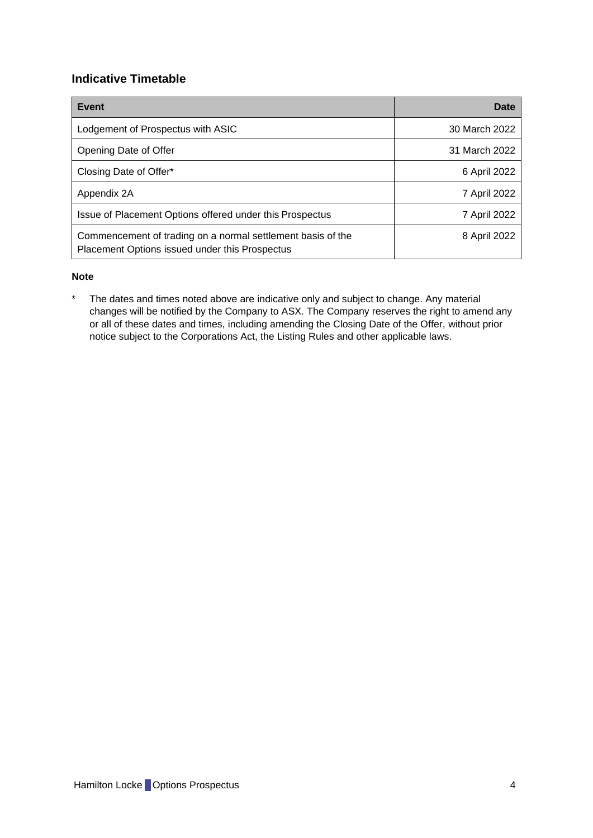## <span id="page-4-0"></span>**Indicative Timetable**

| Event                                                                                                         | Date          |
|---------------------------------------------------------------------------------------------------------------|---------------|
| Lodgement of Prospectus with ASIC                                                                             | 30 March 2022 |
| Opening Date of Offer                                                                                         | 31 March 2022 |
| Closing Date of Offer*                                                                                        | 6 April 2022  |
| Appendix 2A                                                                                                   | 7 April 2022  |
| Issue of Placement Options offered under this Prospectus                                                      | 7 April 2022  |
| Commencement of trading on a normal settlement basis of the<br>Placement Options issued under this Prospectus | 8 April 2022  |

#### **Note**

\* The dates and times noted above are indicative only and subject to change. Any material changes will be notified by the Company to ASX. The Company reserves the right to amend any or all of these dates and times, including amending the Closing Date of the Offer, without prior notice subject to the Corporations Act, the Listing Rules and other applicable laws.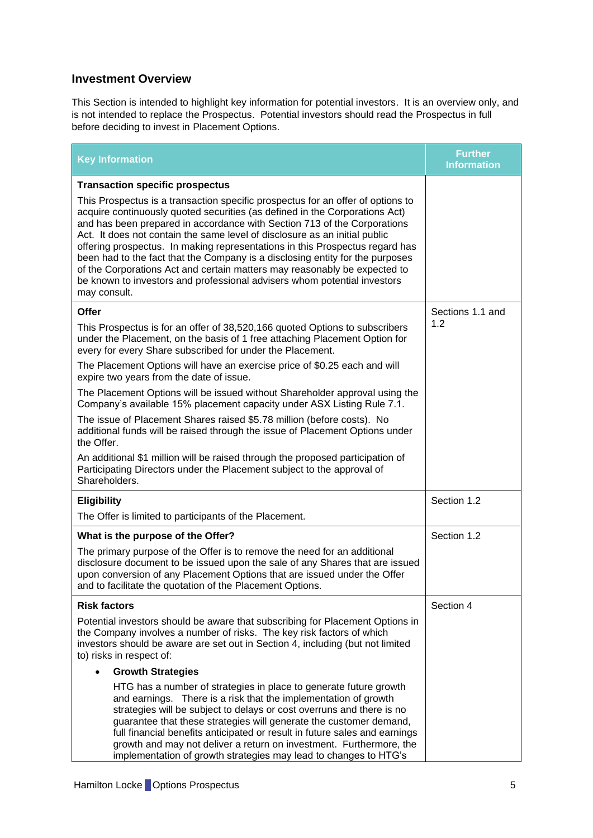## <span id="page-5-0"></span>**Investment Overview**

This Section is intended to highlight key information for potential investors. It is an overview only, and is not intended to replace the Prospectus. Potential investors should read the Prospectus in full before deciding to invest in Placement Options.

| <b>Key Information</b>                                                                                                                                                                                                                                                                                                                                                                                                                                                                                                                                                                                                                                             | <b>Further</b><br><b>Information</b> |
|--------------------------------------------------------------------------------------------------------------------------------------------------------------------------------------------------------------------------------------------------------------------------------------------------------------------------------------------------------------------------------------------------------------------------------------------------------------------------------------------------------------------------------------------------------------------------------------------------------------------------------------------------------------------|--------------------------------------|
| <b>Transaction specific prospectus</b>                                                                                                                                                                                                                                                                                                                                                                                                                                                                                                                                                                                                                             |                                      |
| This Prospectus is a transaction specific prospectus for an offer of options to<br>acquire continuously quoted securities (as defined in the Corporations Act)<br>and has been prepared in accordance with Section 713 of the Corporations<br>Act. It does not contain the same level of disclosure as an initial public<br>offering prospectus. In making representations in this Prospectus regard has<br>been had to the fact that the Company is a disclosing entity for the purposes<br>of the Corporations Act and certain matters may reasonably be expected to<br>be known to investors and professional advisers whom potential investors<br>may consult. |                                      |
| Offer                                                                                                                                                                                                                                                                                                                                                                                                                                                                                                                                                                                                                                                              | Sections 1.1 and<br>1.2              |
| This Prospectus is for an offer of 38,520,166 quoted Options to subscribers<br>under the Placement, on the basis of 1 free attaching Placement Option for<br>every for every Share subscribed for under the Placement.                                                                                                                                                                                                                                                                                                                                                                                                                                             |                                      |
| The Placement Options will have an exercise price of \$0.25 each and will<br>expire two years from the date of issue.                                                                                                                                                                                                                                                                                                                                                                                                                                                                                                                                              |                                      |
| The Placement Options will be issued without Shareholder approval using the<br>Company's available 15% placement capacity under ASX Listing Rule 7.1.                                                                                                                                                                                                                                                                                                                                                                                                                                                                                                              |                                      |
| The issue of Placement Shares raised \$5.78 million (before costs). No<br>additional funds will be raised through the issue of Placement Options under<br>the Offer.                                                                                                                                                                                                                                                                                                                                                                                                                                                                                               |                                      |
| An additional \$1 million will be raised through the proposed participation of<br>Participating Directors under the Placement subject to the approval of<br>Shareholders.                                                                                                                                                                                                                                                                                                                                                                                                                                                                                          |                                      |
| <b>Eligibility</b>                                                                                                                                                                                                                                                                                                                                                                                                                                                                                                                                                                                                                                                 | Section 1.2                          |
| The Offer is limited to participants of the Placement.                                                                                                                                                                                                                                                                                                                                                                                                                                                                                                                                                                                                             |                                      |
| What is the purpose of the Offer?                                                                                                                                                                                                                                                                                                                                                                                                                                                                                                                                                                                                                                  | Section 1.2                          |
| The primary purpose of the Offer is to remove the need for an additional<br>disclosure document to be issued upon the sale of any Shares that are issued<br>upon conversion of any Placement Options that are issued under the Offer<br>and to facilitate the quotation of the Placement Options.                                                                                                                                                                                                                                                                                                                                                                  |                                      |
| <b>Risk factors</b>                                                                                                                                                                                                                                                                                                                                                                                                                                                                                                                                                                                                                                                | Section 4                            |
| Potential investors should be aware that subscribing for Placement Options in<br>the Company involves a number of risks. The key risk factors of which<br>investors should be aware are set out in Section 4, including (but not limited<br>to) risks in respect of:                                                                                                                                                                                                                                                                                                                                                                                               |                                      |
| <b>Growth Strategies</b>                                                                                                                                                                                                                                                                                                                                                                                                                                                                                                                                                                                                                                           |                                      |
| HTG has a number of strategies in place to generate future growth<br>and earnings. There is a risk that the implementation of growth<br>strategies will be subject to delays or cost overruns and there is no<br>guarantee that these strategies will generate the customer demand,<br>full financial benefits anticipated or result in future sales and earnings<br>growth and may not deliver a return on investment. Furthermore, the<br>implementation of growth strategies may lead to changes to HTG's                                                                                                                                                       |                                      |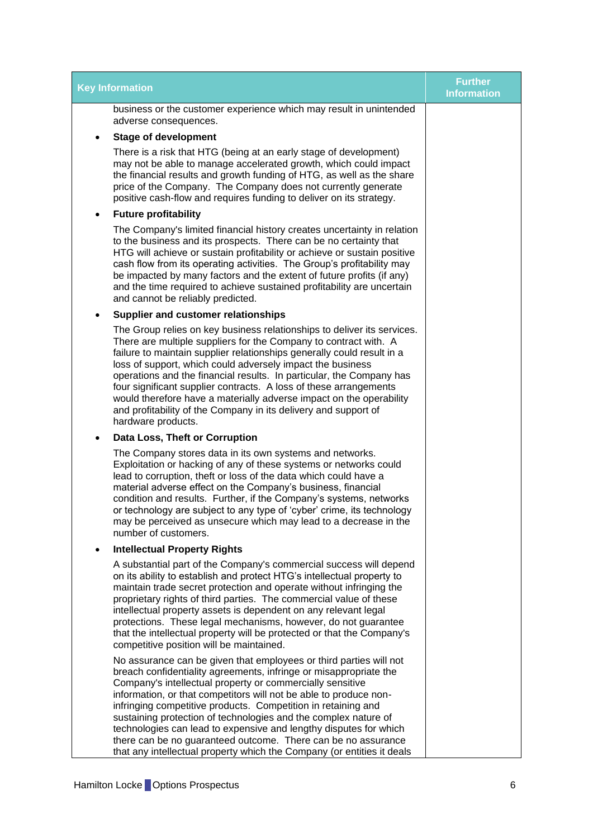| <b>Key Information</b>                                                                                                                                                                                                                                                                                                                                                                                                                                                                                                                                                                                                        | <b>Further</b><br><b>Information</b> |
|-------------------------------------------------------------------------------------------------------------------------------------------------------------------------------------------------------------------------------------------------------------------------------------------------------------------------------------------------------------------------------------------------------------------------------------------------------------------------------------------------------------------------------------------------------------------------------------------------------------------------------|--------------------------------------|
| business or the customer experience which may result in unintended<br>adverse consequences.                                                                                                                                                                                                                                                                                                                                                                                                                                                                                                                                   |                                      |
| <b>Stage of development</b>                                                                                                                                                                                                                                                                                                                                                                                                                                                                                                                                                                                                   |                                      |
| There is a risk that HTG (being at an early stage of development)<br>may not be able to manage accelerated growth, which could impact<br>the financial results and growth funding of HTG, as well as the share<br>price of the Company. The Company does not currently generate<br>positive cash-flow and requires funding to deliver on its strategy.                                                                                                                                                                                                                                                                        |                                      |
| <b>Future profitability</b><br>٠                                                                                                                                                                                                                                                                                                                                                                                                                                                                                                                                                                                              |                                      |
| The Company's limited financial history creates uncertainty in relation<br>to the business and its prospects. There can be no certainty that<br>HTG will achieve or sustain profitability or achieve or sustain positive<br>cash flow from its operating activities. The Group's profitability may<br>be impacted by many factors and the extent of future profits (if any)<br>and the time required to achieve sustained profitability are uncertain<br>and cannot be reliably predicted.                                                                                                                                    |                                      |
| Supplier and customer relationships<br>$\bullet$                                                                                                                                                                                                                                                                                                                                                                                                                                                                                                                                                                              |                                      |
| The Group relies on key business relationships to deliver its services.<br>There are multiple suppliers for the Company to contract with. A<br>failure to maintain supplier relationships generally could result in a<br>loss of support, which could adversely impact the business<br>operations and the financial results. In particular, the Company has<br>four significant supplier contracts. A loss of these arrangements<br>would therefore have a materially adverse impact on the operability<br>and profitability of the Company in its delivery and support of<br>hardware products.                              |                                      |
| Data Loss, Theft or Corruption<br>$\bullet$                                                                                                                                                                                                                                                                                                                                                                                                                                                                                                                                                                                   |                                      |
| The Company stores data in its own systems and networks.<br>Exploitation or hacking of any of these systems or networks could<br>lead to corruption, theft or loss of the data which could have a<br>material adverse effect on the Company's business, financial<br>condition and results. Further, if the Company's systems, networks<br>or technology are subject to any type of 'cyber' crime, its technology<br>may be perceived as unsecure which may lead to a decrease in the<br>number of customers.                                                                                                                 |                                      |
| <b>Intellectual Property Rights</b>                                                                                                                                                                                                                                                                                                                                                                                                                                                                                                                                                                                           |                                      |
| A substantial part of the Company's commercial success will depend<br>on its ability to establish and protect HTG's intellectual property to<br>maintain trade secret protection and operate without infringing the<br>proprietary rights of third parties. The commercial value of these<br>intellectual property assets is dependent on any relevant legal<br>protections. These legal mechanisms, however, do not guarantee<br>that the intellectual property will be protected or that the Company's<br>competitive position will be maintained.                                                                          |                                      |
| No assurance can be given that employees or third parties will not<br>breach confidentiality agreements, infringe or misappropriate the<br>Company's intellectual property or commercially sensitive<br>information, or that competitors will not be able to produce non-<br>infringing competitive products. Competition in retaining and<br>sustaining protection of technologies and the complex nature of<br>technologies can lead to expensive and lengthy disputes for which<br>there can be no guaranteed outcome. There can be no assurance<br>that any intellectual property which the Company (or entities it deals |                                      |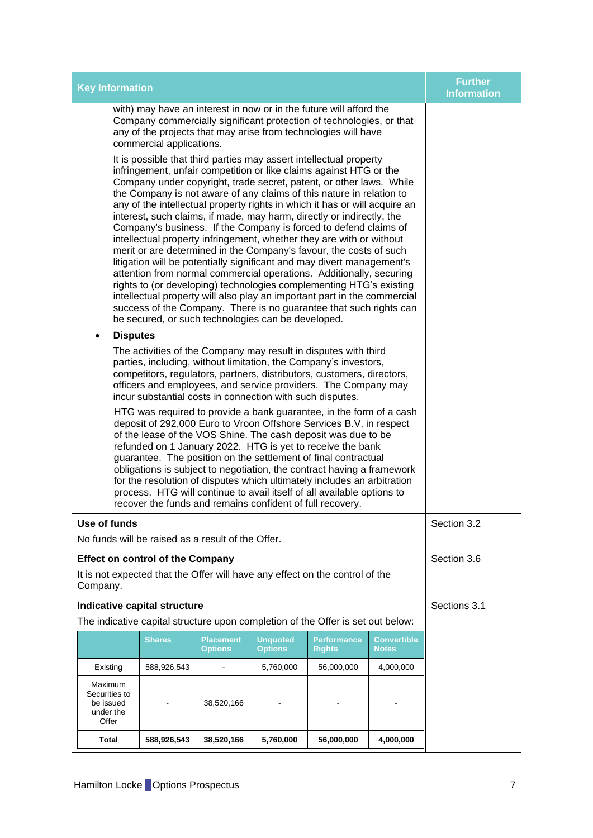| <b>Key Information</b>                                                                                                                                                                                                                                                                                                                                                                                                                                                                                                                                                                                                                                                                                                                                                                                                                                                                                                                                                                                                                                                                           | <b>Further</b><br><b>Information</b> |
|--------------------------------------------------------------------------------------------------------------------------------------------------------------------------------------------------------------------------------------------------------------------------------------------------------------------------------------------------------------------------------------------------------------------------------------------------------------------------------------------------------------------------------------------------------------------------------------------------------------------------------------------------------------------------------------------------------------------------------------------------------------------------------------------------------------------------------------------------------------------------------------------------------------------------------------------------------------------------------------------------------------------------------------------------------------------------------------------------|--------------------------------------|
| with) may have an interest in now or in the future will afford the<br>Company commercially significant protection of technologies, or that<br>any of the projects that may arise from technologies will have<br>commercial applications.                                                                                                                                                                                                                                                                                                                                                                                                                                                                                                                                                                                                                                                                                                                                                                                                                                                         |                                      |
| It is possible that third parties may assert intellectual property<br>infringement, unfair competition or like claims against HTG or the<br>Company under copyright, trade secret, patent, or other laws. While<br>the Company is not aware of any claims of this nature in relation to<br>any of the intellectual property rights in which it has or will acquire an<br>interest, such claims, if made, may harm, directly or indirectly, the<br>Company's business. If the Company is forced to defend claims of<br>intellectual property infringement, whether they are with or without<br>merit or are determined in the Company's favour, the costs of such<br>litigation will be potentially significant and may divert management's<br>attention from normal commercial operations. Additionally, securing<br>rights to (or developing) technologies complementing HTG's existing<br>intellectual property will also play an important part in the commercial<br>success of the Company. There is no guarantee that such rights can<br>be secured, or such technologies can be developed. |                                      |
| <b>Disputes</b>                                                                                                                                                                                                                                                                                                                                                                                                                                                                                                                                                                                                                                                                                                                                                                                                                                                                                                                                                                                                                                                                                  |                                      |
| The activities of the Company may result in disputes with third<br>parties, including, without limitation, the Company's investors,<br>competitors, regulators, partners, distributors, customers, directors,<br>officers and employees, and service providers. The Company may<br>incur substantial costs in connection with such disputes.                                                                                                                                                                                                                                                                                                                                                                                                                                                                                                                                                                                                                                                                                                                                                     |                                      |
| HTG was required to provide a bank guarantee, in the form of a cash<br>deposit of 292,000 Euro to Vroon Offshore Services B.V. in respect<br>of the lease of the VOS Shine. The cash deposit was due to be<br>refunded on 1 January 2022. HTG is yet to receive the bank<br>guarantee. The position on the settlement of final contractual<br>obligations is subject to negotiation, the contract having a framework<br>for the resolution of disputes which ultimately includes an arbitration<br>process. HTG will continue to avail itself of all available options to<br>recover the funds and remains confident of full recovery.                                                                                                                                                                                                                                                                                                                                                                                                                                                           |                                      |
| <b>Use of funds</b><br>No funds will be raised as a result of the Offer.                                                                                                                                                                                                                                                                                                                                                                                                                                                                                                                                                                                                                                                                                                                                                                                                                                                                                                                                                                                                                         | Section 3.2                          |
| <b>Effect on control of the Company</b><br>It is not expected that the Offer will have any effect on the control of the<br>Company.                                                                                                                                                                                                                                                                                                                                                                                                                                                                                                                                                                                                                                                                                                                                                                                                                                                                                                                                                              | Section 3.6                          |
| Indicative capital structure<br>The indicative capital structure upon completion of the Offer is set out below:                                                                                                                                                                                                                                                                                                                                                                                                                                                                                                                                                                                                                                                                                                                                                                                                                                                                                                                                                                                  | Sections 3.1                         |
| <b>Shares</b><br><b>Unquoted</b><br><b>Placement</b><br><b>Convertible</b><br>Performance<br><b>Options</b><br><b>Options</b><br><b>Rights</b><br><b>Notes</b>                                                                                                                                                                                                                                                                                                                                                                                                                                                                                                                                                                                                                                                                                                                                                                                                                                                                                                                                   |                                      |
| 588,926,543<br>5,760,000<br>56,000,000<br>4,000,000<br>Existing                                                                                                                                                                                                                                                                                                                                                                                                                                                                                                                                                                                                                                                                                                                                                                                                                                                                                                                                                                                                                                  |                                      |
| Maximum<br>Securities to<br>be issued<br>38,520,166<br>under the<br>Offer                                                                                                                                                                                                                                                                                                                                                                                                                                                                                                                                                                                                                                                                                                                                                                                                                                                                                                                                                                                                                        |                                      |
| Total<br>588,926,543<br>38,520,166<br>5,760,000<br>56,000,000<br>4,000,000                                                                                                                                                                                                                                                                                                                                                                                                                                                                                                                                                                                                                                                                                                                                                                                                                                                                                                                                                                                                                       |                                      |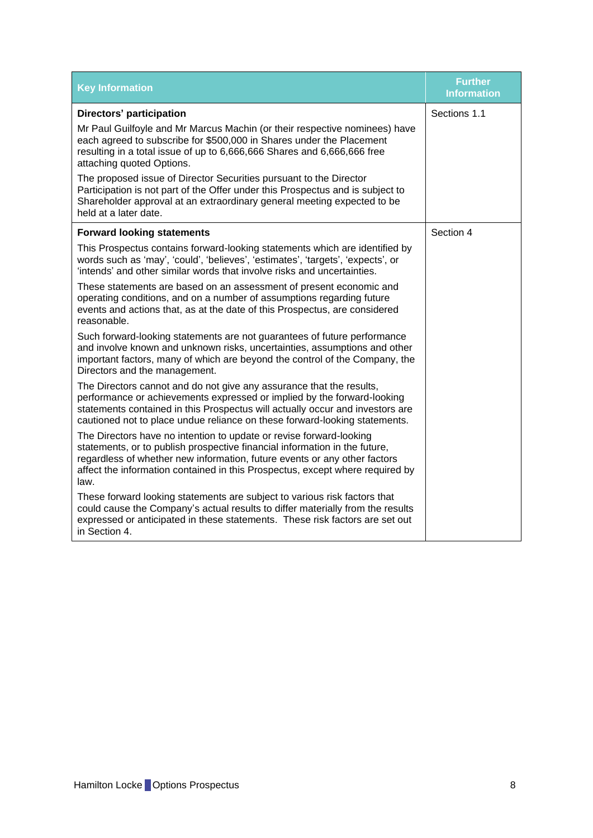| <b>Key Information</b>                                                                                                                                                                                                                                                                                                  | <b>Further</b><br><b>Information</b> |
|-------------------------------------------------------------------------------------------------------------------------------------------------------------------------------------------------------------------------------------------------------------------------------------------------------------------------|--------------------------------------|
| <b>Directors' participation</b>                                                                                                                                                                                                                                                                                         | Sections 1.1                         |
| Mr Paul Guilfoyle and Mr Marcus Machin (or their respective nominees) have<br>each agreed to subscribe for \$500,000 in Shares under the Placement<br>resulting in a total issue of up to 6,666,666 Shares and 6,666,666 free<br>attaching quoted Options.                                                              |                                      |
| The proposed issue of Director Securities pursuant to the Director<br>Participation is not part of the Offer under this Prospectus and is subject to<br>Shareholder approval at an extraordinary general meeting expected to be<br>held at a later date.                                                                |                                      |
| <b>Forward looking statements</b>                                                                                                                                                                                                                                                                                       | Section 4                            |
| This Prospectus contains forward-looking statements which are identified by<br>words such as 'may', 'could', 'believes', 'estimates', 'targets', 'expects', or<br>'intends' and other similar words that involve risks and uncertainties.                                                                               |                                      |
| These statements are based on an assessment of present economic and<br>operating conditions, and on a number of assumptions regarding future<br>events and actions that, as at the date of this Prospectus, are considered<br>reasonable.                                                                               |                                      |
| Such forward-looking statements are not guarantees of future performance<br>and involve known and unknown risks, uncertainties, assumptions and other<br>important factors, many of which are beyond the control of the Company, the<br>Directors and the management.                                                   |                                      |
| The Directors cannot and do not give any assurance that the results,<br>performance or achievements expressed or implied by the forward-looking<br>statements contained in this Prospectus will actually occur and investors are<br>cautioned not to place undue reliance on these forward-looking statements.          |                                      |
| The Directors have no intention to update or revise forward-looking<br>statements, or to publish prospective financial information in the future,<br>regardless of whether new information, future events or any other factors<br>affect the information contained in this Prospectus, except where required by<br>law. |                                      |
| These forward looking statements are subject to various risk factors that<br>could cause the Company's actual results to differ materially from the results<br>expressed or anticipated in these statements. These risk factors are set out<br>in Section 4.                                                            |                                      |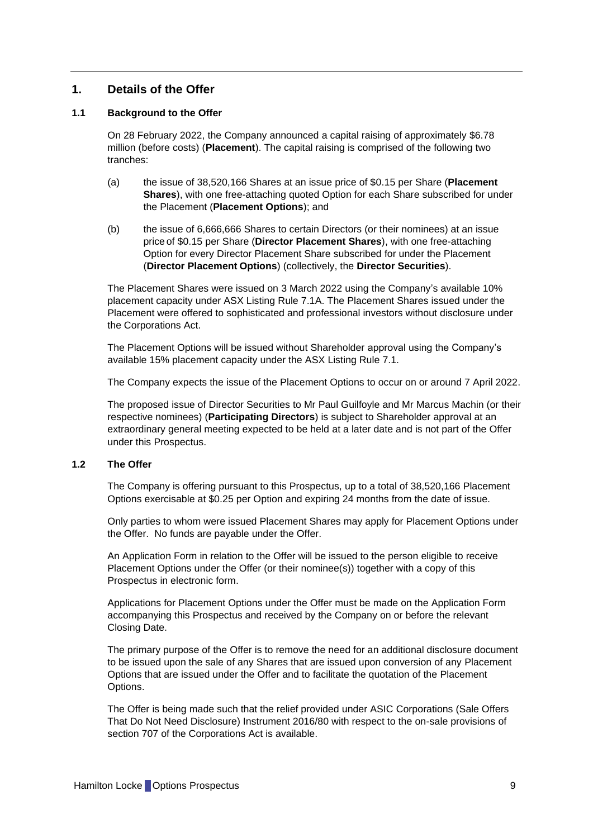## <span id="page-9-0"></span>**1. Details of the Offer**

#### <span id="page-9-1"></span>**1.1 Background to the Offer**

On 28 February 2022, the Company announced a capital raising of approximately \$6.78 million (before costs) (**Placement**). The capital raising is comprised of the following two tranches:

- (a) the issue of 38,520,166 Shares at an issue price of \$0.15 per Share (**Placement Shares**), with one free-attaching quoted Option for each Share subscribed for under the Placement (**Placement Options**); and
- (b) the issue of 6,666,666 Shares to certain Directors (or their nominees) at an issue price of \$0.15 per Share (**Director Placement Shares**), with one free-attaching Option for every Director Placement Share subscribed for under the Placement (**Director Placement Options**) (collectively, the **Director Securities**).

The Placement Shares were issued on 3 March 2022 using the Company's available 10% placement capacity under ASX Listing Rule 7.1A. The Placement Shares issued under the Placement were offered to sophisticated and professional investors without disclosure under the Corporations Act.

The Placement Options will be issued without Shareholder approval using the Company's available 15% placement capacity under the ASX Listing Rule 7.1.

The Company expects the issue of the Placement Options to occur on or around 7 April 2022.

The proposed issue of Director Securities to Mr Paul Guilfoyle and Mr Marcus Machin (or their respective nominees) (**Participating Directors**) is subject to Shareholder approval at an extraordinary general meeting expected to be held at a later date and is not part of the Offer under this Prospectus.

#### <span id="page-9-2"></span>**1.2 The Offer**

The Company is offering pursuant to this Prospectus, up to a total of 38,520,166 Placement Options exercisable at \$0.25 per Option and expiring 24 months from the date of issue.

Only parties to whom were issued Placement Shares may apply for Placement Options under the Offer. No funds are payable under the Offer.

An Application Form in relation to the Offer will be issued to the person eligible to receive Placement Options under the Offer (or their nominee(s)) together with a copy of this Prospectus in electronic form.

Applications for Placement Options under the Offer must be made on the Application Form accompanying this Prospectus and received by the Company on or before the relevant Closing Date.

The primary purpose of the Offer is to remove the need for an additional disclosure document to be issued upon the sale of any Shares that are issued upon conversion of any Placement Options that are issued under the Offer and to facilitate the quotation of the Placement Options.

The Offer is being made such that the relief provided under ASIC Corporations (Sale Offers That Do Not Need Disclosure) Instrument 2016/80 with respect to the on-sale provisions of section 707 of the Corporations Act is available.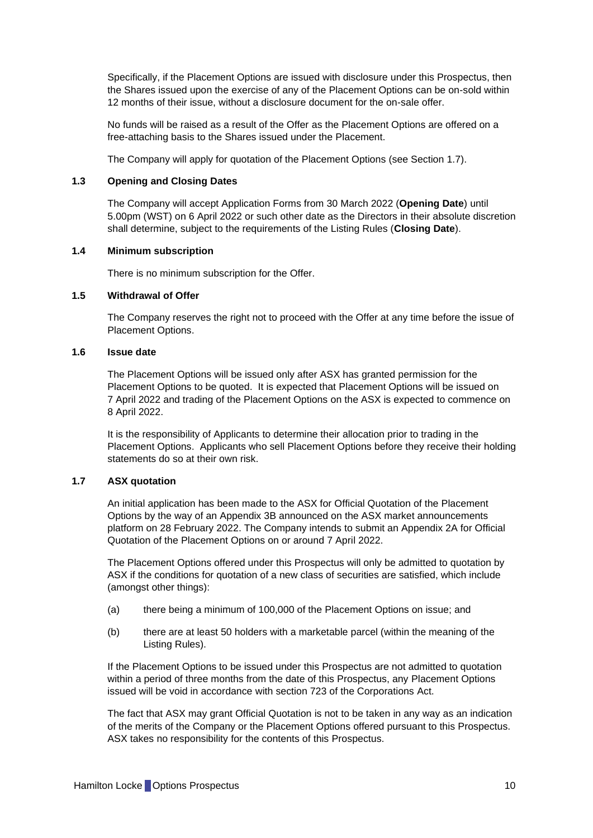Specifically, if the Placement Options are issued with disclosure under this Prospectus, then the Shares issued upon the exercise of any of the Placement Options can be on-sold within 12 months of their issue, without a disclosure document for the on-sale offer.

No funds will be raised as a result of the Offer as the Placement Options are offered on a free-attaching basis to the Shares issued under the Placement.

The Company will apply for quotation of the Placement Options (see Section [1.7\)](#page-10-0).

#### <span id="page-10-1"></span>**1.3 Opening and Closing Dates**

The Company will accept Application Forms from 30 March 2022 (**Opening Date**) until 5.00pm (WST) on 6 April 2022 or such other date as the Directors in their absolute discretion shall determine, subject to the requirements of the Listing Rules (**Closing Date**).

#### **1.4 Minimum subscription**

There is no minimum subscription for the Offer.

#### **1.5 Withdrawal of Offer**

The Company reserves the right not to proceed with the Offer at any time before the issue of Placement Options.

#### **1.6 Issue date**

The Placement Options will be issued only after ASX has granted permission for the Placement Options to be quoted. It is expected that Placement Options will be issued on 7 April 2022 and trading of the Placement Options on the ASX is expected to commence on 8 April 2022.

It is the responsibility of Applicants to determine their allocation prior to trading in the Placement Options. Applicants who sell Placement Options before they receive their holding statements do so at their own risk.

#### <span id="page-10-0"></span>**1.7 ASX quotation**

An initial application has been made to the ASX for Official Quotation of the Placement Options by the way of an Appendix 3B announced on the ASX market announcements platform on 28 February 2022. The Company intends to submit an Appendix 2A for Official Quotation of the Placement Options on or around 7 April 2022.

The Placement Options offered under this Prospectus will only be admitted to quotation by ASX if the conditions for quotation of a new class of securities are satisfied, which include (amongst other things):

- (a) there being a minimum of 100,000 of the Placement Options on issue; and
- (b) there are at least 50 holders with a marketable parcel (within the meaning of the Listing Rules).

If the Placement Options to be issued under this Prospectus are not admitted to quotation within a period of three months from the date of this Prospectus, any Placement Options issued will be void in accordance with section 723 of the Corporations Act.

The fact that ASX may grant Official Quotation is not to be taken in any way as an indication of the merits of the Company or the Placement Options offered pursuant to this Prospectus. ASX takes no responsibility for the contents of this Prospectus.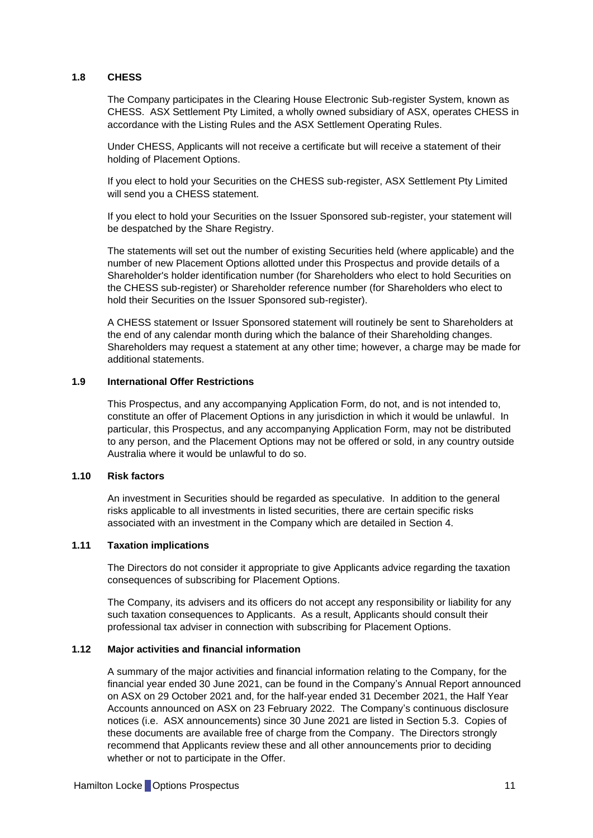#### **1.8 CHESS**

The Company participates in the Clearing House Electronic Sub-register System, known as CHESS. ASX Settlement Pty Limited, a wholly owned subsidiary of ASX, operates CHESS in accordance with the Listing Rules and the ASX Settlement Operating Rules.

Under CHESS, Applicants will not receive a certificate but will receive a statement of their holding of Placement Options.

If you elect to hold your Securities on the CHESS sub-register, ASX Settlement Pty Limited will send you a CHESS statement.

If you elect to hold your Securities on the Issuer Sponsored sub-register, your statement will be despatched by the Share Registry.

The statements will set out the number of existing Securities held (where applicable) and the number of new Placement Options allotted under this Prospectus and provide details of a Shareholder's holder identification number (for Shareholders who elect to hold Securities on the CHESS sub-register) or Shareholder reference number (for Shareholders who elect to hold their Securities on the Issuer Sponsored sub-register).

A CHESS statement or Issuer Sponsored statement will routinely be sent to Shareholders at the end of any calendar month during which the balance of their Shareholding changes. Shareholders may request a statement at any other time; however, a charge may be made for additional statements.

#### **1.9 International Offer Restrictions**

This Prospectus, and any accompanying Application Form, do not, and is not intended to, constitute an offer of Placement Options in any jurisdiction in which it would be unlawful. In particular, this Prospectus, and any accompanying Application Form, may not be distributed to any person, and the Placement Options may not be offered or sold, in any country outside Australia where it would be unlawful to do so.

#### **1.10 Risk factors**

An investment in Securities should be regarded as speculative. In addition to the general risks applicable to all investments in listed securities, there are certain specific risks associated with an investment in the Company which are detailed in Section [4.](#page-17-0)

#### **1.11 Taxation implications**

The Directors do not consider it appropriate to give Applicants advice regarding the taxation consequences of subscribing for Placement Options.

The Company, its advisers and its officers do not accept any responsibility or liability for any such taxation consequences to Applicants. As a result, Applicants should consult their professional tax adviser in connection with subscribing for Placement Options.

#### **1.12 Major activities and financial information**

A summary of the major activities and financial information relating to the Company, for the financial year ended 30 June 2021, can be found in the Company's Annual Report announced on ASX on 29 October 2021 and, for the half-year ended 31 December 2021, the Half Year Accounts announced on ASX on 23 February 2022. The Company's continuous disclosure notices (i.e. ASX announcements) since 30 June 2021 are listed in Section [5.3.](#page-26-0) Copies of these documents are available free of charge from the Company. The Directors strongly recommend that Applicants review these and all other announcements prior to deciding whether or not to participate in the Offer.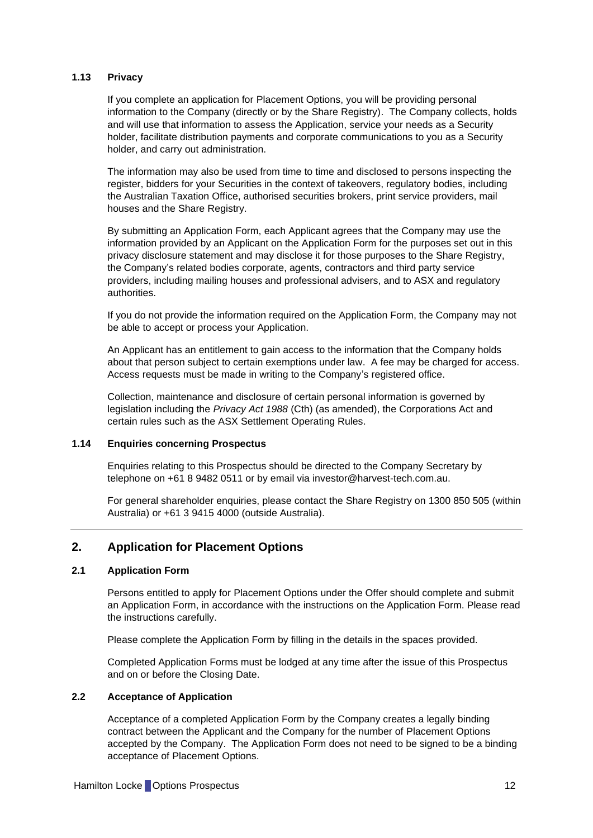#### **1.13 Privacy**

If you complete an application for Placement Options, you will be providing personal information to the Company (directly or by the Share Registry). The Company collects, holds and will use that information to assess the Application, service your needs as a Security holder, facilitate distribution payments and corporate communications to you as a Security holder, and carry out administration.

The information may also be used from time to time and disclosed to persons inspecting the register, bidders for your Securities in the context of takeovers, regulatory bodies, including the Australian Taxation Office, authorised securities brokers, print service providers, mail houses and the Share Registry.

By submitting an Application Form, each Applicant agrees that the Company may use the information provided by an Applicant on the Application Form for the purposes set out in this privacy disclosure statement and may disclose it for those purposes to the Share Registry, the Company's related bodies corporate, agents, contractors and third party service providers, including mailing houses and professional advisers, and to ASX and regulatory authorities.

If you do not provide the information required on the Application Form, the Company may not be able to accept or process your Application.

An Applicant has an entitlement to gain access to the information that the Company holds about that person subject to certain exemptions under law. A fee may be charged for access. Access requests must be made in writing to the Company's registered office.

Collection, maintenance and disclosure of certain personal information is governed by legislation including the *Privacy Act 1988* (Cth) (as amended), the Corporations Act and certain rules such as the ASX Settlement Operating Rules.

### **1.14 Enquiries concerning Prospectus**

Enquiries relating to this Prospectus should be directed to the Company Secretary by telephone on +61 8 9482 0511 or by email via [investor@harvest-tech.com.au.](mailto:investor@harvest-tech.com.au)

For general shareholder enquiries, please contact the Share Registry on 1300 850 505 (within Australia) or +61 3 9415 4000 (outside Australia).

## <span id="page-12-0"></span>**2. Application for Placement Options**

#### **2.1 Application Form**

Persons entitled to apply for Placement Options under the Offer should complete and submit an Application Form, in accordance with the instructions on the Application Form. Please read the instructions carefully.

Please complete the Application Form by filling in the details in the spaces provided.

Completed Application Forms must be lodged at any time after the issue of this Prospectus and on or before the Closing Date.

#### **2.2 Acceptance of Application**

Acceptance of a completed Application Form by the Company creates a legally binding contract between the Applicant and the Company for the number of Placement Options accepted by the Company. The Application Form does not need to be signed to be a binding acceptance of Placement Options.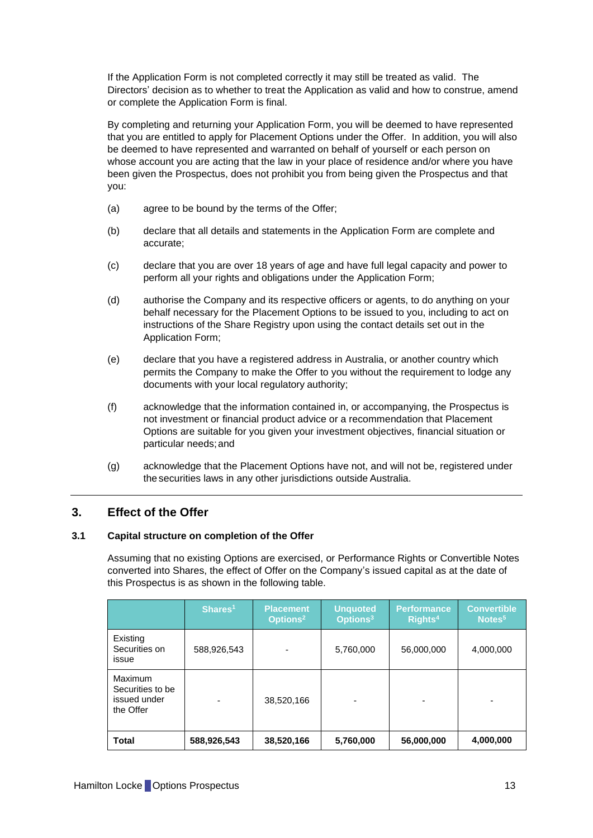If the Application Form is not completed correctly it may still be treated as valid. The Directors' decision as to whether to treat the Application as valid and how to construe, amend or complete the Application Form is final.

By completing and returning your Application Form, you will be deemed to have represented that you are entitled to apply for Placement Options under the Offer. In addition, you will also be deemed to have represented and warranted on behalf of yourself or each person on whose account you are acting that the law in your place of residence and/or where you have been given the Prospectus, does not prohibit you from being given the Prospectus and that you:

- (a) agree to be bound by the terms of the Offer;
- (b) declare that all details and statements in the Application Form are complete and accurate;
- (c) declare that you are over 18 years of age and have full legal capacity and power to perform all your rights and obligations under the Application Form;
- (d) authorise the Company and its respective officers or agents, to do anything on your behalf necessary for the Placement Options to be issued to you, including to act on instructions of the Share Registry upon using the contact details set out in the Application Form;
- (e) declare that you have a registered address in Australia, or another country which permits the Company to make the Offer to you without the requirement to lodge any documents with your local regulatory authority;
- (f) acknowledge that the information contained in, or accompanying, the Prospectus is not investment or financial product advice or a recommendation that Placement Options are suitable for you given your investment objectives, financial situation or particular needs;and
- (g) acknowledge that the Placement Options have not, and will not be, registered under the securities laws in any other jurisdictions outside Australia.

## <span id="page-13-0"></span>**3. Effect of the Offer**

#### <span id="page-13-1"></span>**3.1 Capital structure on completion of the Offer**

Assuming that no existing Options are exercised, or Performance Rights or Convertible Notes converted into Shares, the effect of Offer on the Company's issued capital as at the date of this Prospectus is as shown in the following table.

|                                                          | Shares <sup>1</sup> | <b>Placement</b><br>Options <sup>2</sup> | <b>Unquoted</b><br>Options <sup>3</sup> | <b>Performance</b><br>Rights <sup>4</sup> | <b>Convertible</b><br>Notes <sup>5</sup> |
|----------------------------------------------------------|---------------------|------------------------------------------|-----------------------------------------|-------------------------------------------|------------------------------------------|
| Existing<br>Securities on<br>issue                       | 588,926,543         | -                                        | 5,760,000                               | 56,000,000                                | 4,000,000                                |
| Maximum<br>Securities to be<br>issued under<br>the Offer |                     | 38,520,166                               |                                         | -                                         |                                          |
| Total                                                    | 588,926,543         | 38,520,166                               | 5,760,000                               | 56,000,000                                | 4,000,000                                |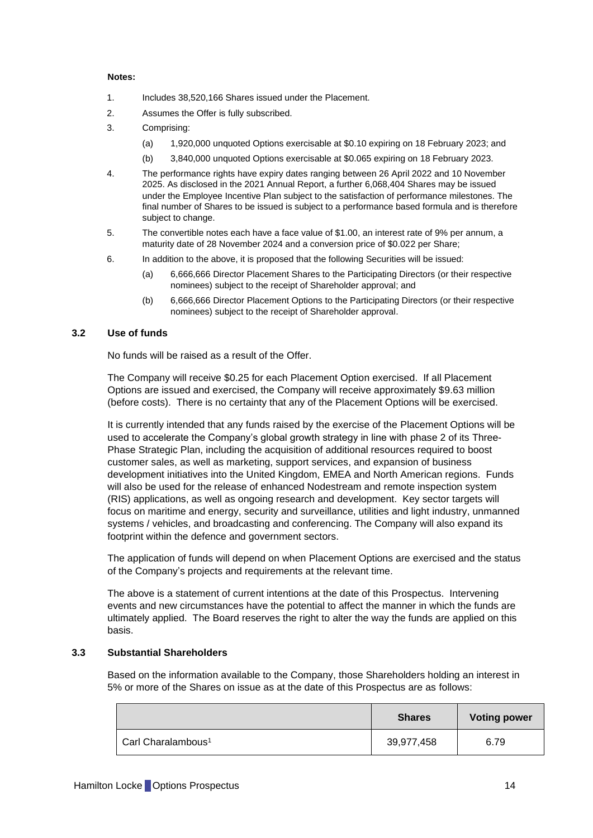#### **Notes:**

- 1. Includes 38,520,166 Shares issued under the Placement.
- 2. Assumes the Offer is fully subscribed.
- 3. Comprising:
	- (a) 1,920,000 unquoted Options exercisable at \$0.10 expiring on 18 February 2023; and
	- (b) 3,840,000 unquoted Options exercisable at \$0.065 expiring on 18 February 2023.
- 4. The performance rights have expiry dates ranging between 26 April 2022 and 10 November 2025. As disclosed in the 2021 Annual Report, a further 6,068,404 Shares may be issued under the Employee Incentive Plan subject to the satisfaction of performance milestones. The final number of Shares to be issued is subject to a performance based formula and is therefore subject to change.
- 5. The convertible notes each have a face value of \$1.00, an interest rate of 9% per annum, a maturity date of 28 November 2024 and a conversion price of \$0.022 per Share;
- 6. In addition to the above, it is proposed that the following Securities will be issued:
	- (a) 6,666,666 Director Placement Shares to the Participating Directors (or their respective nominees) subject to the receipt of Shareholder approval; and
	- (b) 6,666,666 Director Placement Options to the Participating Directors (or their respective nominees) subject to the receipt of Shareholder approval.

#### <span id="page-14-0"></span>**3.2 Use of funds**

No funds will be raised as a result of the Offer.

The Company will receive \$0.25 for each Placement Option exercised. If all Placement Options are issued and exercised, the Company will receive approximately \$9.63 million (before costs). There is no certainty that any of the Placement Options will be exercised.

It is currently intended that any funds raised by the exercise of the Placement Options will be used to accelerate the Company's global growth strategy in line with phase 2 of its Three-Phase Strategic Plan, including the acquisition of additional resources required to boost customer sales, as well as marketing, support services, and expansion of business development initiatives into the United Kingdom, EMEA and North American regions. Funds will also be used for the release of enhanced Nodestream and remote inspection system (RIS) applications, as well as ongoing research and development. Key sector targets will focus on maritime and energy, security and surveillance, utilities and light industry, unmanned systems / vehicles, and broadcasting and conferencing. The Company will also expand its footprint within the defence and government sectors.

The application of funds will depend on when Placement Options are exercised and the status of the Company's projects and requirements at the relevant time.

The above is a statement of current intentions at the date of this Prospectus. Intervening events and new circumstances have the potential to affect the manner in which the funds are ultimately applied. The Board reserves the right to alter the way the funds are applied on this basis.

#### **3.3 Substantial Shareholders**

Based on the information available to the Company, those Shareholders holding an interest in 5% or more of the Shares on issue as at the date of this Prospectus are as follows:

|                                | <b>Shares</b> | <b>Voting power</b> |
|--------------------------------|---------------|---------------------|
| Carl Charalambous <sup>1</sup> | 39,977,458    | 6.79                |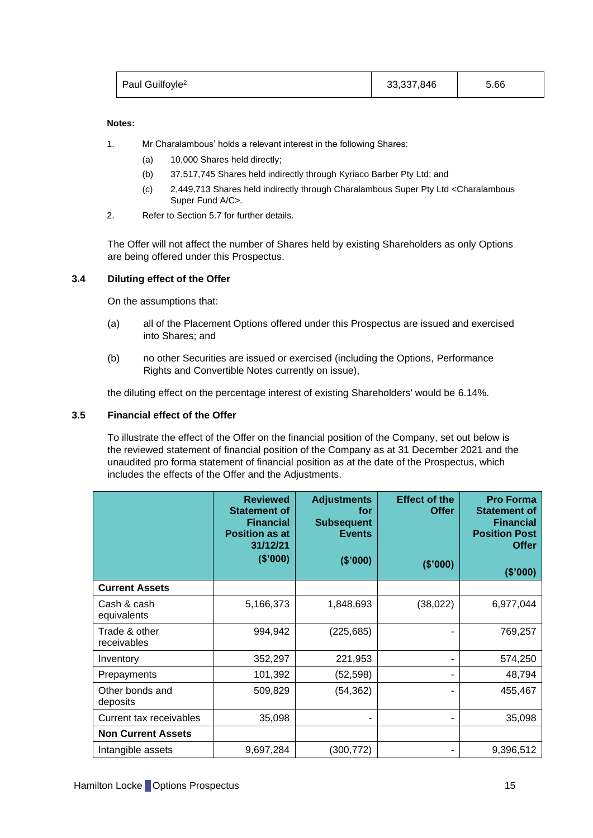| Paul Guilfoyle <sup>2</sup> | 33,337,846 | 5.66 |  |
|-----------------------------|------------|------|--|
|                             |            |      |  |

#### **Notes:**

- 1. Mr Charalambous' holds a relevant interest in the following Shares:
	- (a) 10,000 Shares held directly;
	- (b) 37,517,745 Shares held indirectly through Kyriaco Barber Pty Ltd; and
	- (c) 2,449,713 Shares held indirectly through Charalambous Super Pty Ltd <Charalambous Super Fund A/C>.
- 2. Refer to Section [5.7](#page-29-0) for further details.

The Offer will not affect the number of Shares held by existing Shareholders as only Options are being offered under this Prospectus.

#### **3.4 Diluting effect of the Offer**

On the assumptions that:

- (a) all of the Placement Options offered under this Prospectus are issued and exercised into Shares; and
- (b) no other Securities are issued or exercised (including the Options, Performance Rights and Convertible Notes currently on issue),

the diluting effect on the percentage interest of existing Shareholders' would be 6.14%.

#### <span id="page-15-0"></span>**3.5 Financial effect of the Offer**

To illustrate the effect of the Offer on the financial position of the Company, set out below is the reviewed statement of financial position of the Company as at 31 December 2021 and the unaudited pro forma statement of financial position as at the date of the Prospectus, which includes the effects of the Offer and the Adjustments.

|                              | <b>Reviewed</b><br><b>Statement of</b><br><b>Financial</b><br><b>Position as at</b><br>31/12/21<br>(\$'000) | <b>Adjustments</b><br>for<br><b>Subsequent</b><br><b>Events</b><br>(\$'000) | <b>Effect of the</b><br><b>Offer</b><br>(\$'000) | <b>Pro Forma</b><br><b>Statement of</b><br><b>Financial</b><br><b>Position Post</b><br><b>Offer</b><br>(\$'000) |
|------------------------------|-------------------------------------------------------------------------------------------------------------|-----------------------------------------------------------------------------|--------------------------------------------------|-----------------------------------------------------------------------------------------------------------------|
| <b>Current Assets</b>        |                                                                                                             |                                                                             |                                                  |                                                                                                                 |
| Cash & cash<br>equivalents   | 5,166,373                                                                                                   | 1,848,693                                                                   | (38, 022)                                        | 6,977,044                                                                                                       |
| Trade & other<br>receivables | 994,942                                                                                                     | (225, 685)                                                                  |                                                  | 769,257                                                                                                         |
| Inventory                    | 352,297                                                                                                     | 221,953                                                                     |                                                  | 574,250                                                                                                         |
| Prepayments                  | 101,392                                                                                                     | (52,598)                                                                    |                                                  | 48,794                                                                                                          |
| Other bonds and<br>deposits  | 509,829                                                                                                     | (54,362)                                                                    |                                                  | 455,467                                                                                                         |
| Current tax receivables      | 35,098                                                                                                      | ۰                                                                           |                                                  | 35,098                                                                                                          |
| <b>Non Current Assets</b>    |                                                                                                             |                                                                             |                                                  |                                                                                                                 |
| Intangible assets            | 9,697,284                                                                                                   | (300,772)                                                                   |                                                  | 9,396,512                                                                                                       |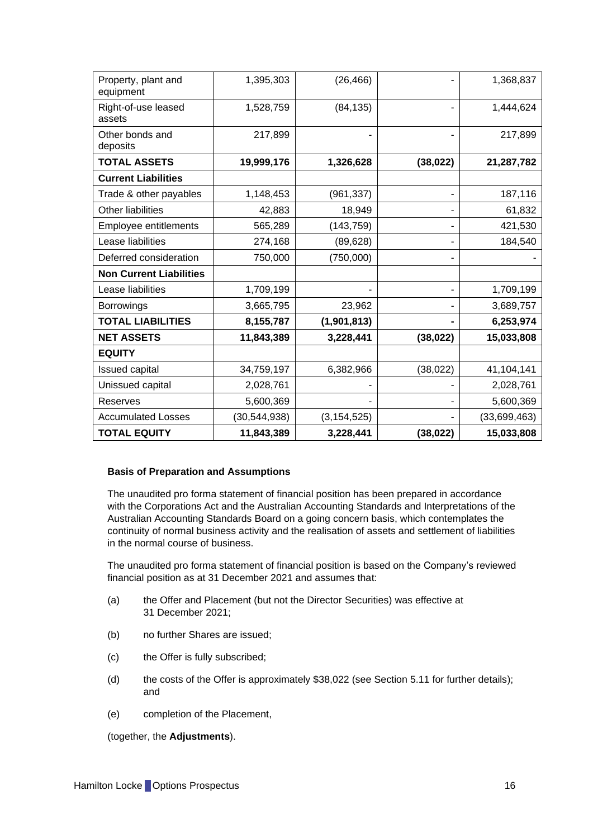| Property, plant and<br>equipment | 1,395,303      | (26, 466)     |           | 1,368,837    |
|----------------------------------|----------------|---------------|-----------|--------------|
| Right-of-use leased<br>assets    | 1,528,759      | (84, 135)     |           | 1,444,624    |
| Other bonds and<br>deposits      | 217,899        |               |           | 217,899      |
| <b>TOTAL ASSETS</b>              | 19,999,176     | 1,326,628     | (38, 022) | 21,287,782   |
| <b>Current Liabilities</b>       |                |               |           |              |
| Trade & other payables           | 1,148,453      | (961, 337)    |           | 187,116      |
| <b>Other liabilities</b>         | 42,883         | 18,949        |           | 61,832       |
| Employee entitlements            | 565,289        | (143, 759)    |           | 421,530      |
| Lease liabilities                | 274,168        | (89, 628)     |           | 184,540      |
| Deferred consideration           | 750,000        | (750,000)     |           |              |
| <b>Non Current Liabilities</b>   |                |               |           |              |
| Lease liabilities                | 1,709,199      |               |           | 1,709,199    |
| <b>Borrowings</b>                | 3,665,795      | 23,962        |           | 3,689,757    |
| <b>TOTAL LIABILITIES</b>         | 8,155,787      | (1,901,813)   |           | 6,253,974    |
| <b>NET ASSETS</b>                | 11,843,389     | 3,228,441     | (38, 022) | 15,033,808   |
| <b>EQUITY</b>                    |                |               |           |              |
| <b>Issued capital</b>            | 34,759,197     | 6,382,966     | (38, 022) | 41,104,141   |
| Unissued capital                 | 2,028,761      |               |           | 2,028,761    |
| Reserves                         | 5,600,369      |               |           | 5,600,369    |
| <b>Accumulated Losses</b>        | (30, 544, 938) | (3, 154, 525) |           | (33,699,463) |
| <b>TOTAL EQUITY</b>              | 11,843,389     | 3,228,441     | (38, 022) | 15,033,808   |

#### **Basis of Preparation and Assumptions**

The unaudited pro forma statement of financial position has been prepared in accordance with the Corporations Act and the Australian Accounting Standards and Interpretations of the Australian Accounting Standards Board on a going concern basis, which contemplates the continuity of normal business activity and the realisation of assets and settlement of liabilities in the normal course of business.

The unaudited pro forma statement of financial position is based on the Company's reviewed financial position as at 31 December 2021 and assumes that:

- (a) the Offer and Placement (but not the Director Securities) was effective at 31 December 2021;
- (b) no further Shares are issued;
- (c) the Offer is fully subscribed;
- (d) the costs of the Offer is approximately \$38,022 (see Section [5.11](#page-32-0) for further details); and
- (e) completion of the Placement,

(together, the **Adjustments**).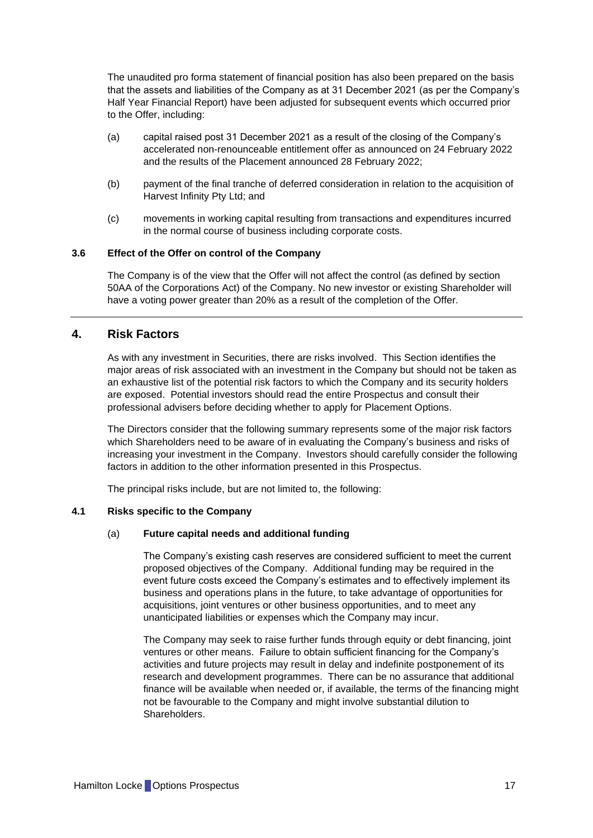The unaudited pro forma statement of financial position has also been prepared on the basis that the assets and liabilities of the Company as at 31 December 2021 (as per the Company's Half Year Financial Report) have been adjusted for subsequent events which occurred prior to the Offer, including:

- (a) capital raised post 31 December 2021 as a result of the closing of the Company's accelerated non-renounceable entitlement offer as announced on 24 February 2022 and the results of the Placement announced 28 February 2022;
- (b) payment of the final tranche of deferred consideration in relation to the acquisition of Harvest Infinity Pty Ltd; and
- (c) movements in working capital resulting from transactions and expenditures incurred in the normal course of business including corporate costs.

#### <span id="page-17-1"></span>**3.6 Effect of the Offer on control of the Company**

The Company is of the view that the Offer will not affect the control (as defined by section 50AA of the Corporations Act) of the Company. No new investor or existing Shareholder will have a voting power greater than 20% as a result of the completion of the Offer.

### <span id="page-17-0"></span>**4. Risk Factors**

As with any investment in Securities, there are risks involved. This Section identifies the major areas of risk associated with an investment in the Company but should not be taken as an exhaustive list of the potential risk factors to which the Company and its security holders are exposed. Potential investors should read the entire Prospectus and consult their professional advisers before deciding whether to apply for Placement Options.

The Directors consider that the following summary represents some of the major risk factors which Shareholders need to be aware of in evaluating the Company's business and risks of increasing your investment in the Company. Investors should carefully consider the following factors in addition to the other information presented in this Prospectus.

The principal risks include, but are not limited to, the following:

#### **4.1 Risks specific to the Company**

#### (a) **Future capital needs and additional funding**

The Company's existing cash reserves are considered sufficient to meet the current proposed objectives of the Company. Additional funding may be required in the event future costs exceed the Company's estimates and to effectively implement its business and operations plans in the future, to take advantage of opportunities for acquisitions, joint ventures or other business opportunities, and to meet any unanticipated liabilities or expenses which the Company may incur.

The Company may seek to raise further funds through equity or debt financing, joint ventures or other means. Failure to obtain sufficient financing for the Company's activities and future projects may result in delay and indefinite postponement of its research and development programmes. There can be no assurance that additional finance will be available when needed or, if available, the terms of the financing might not be favourable to the Company and might involve substantial dilution to Shareholders.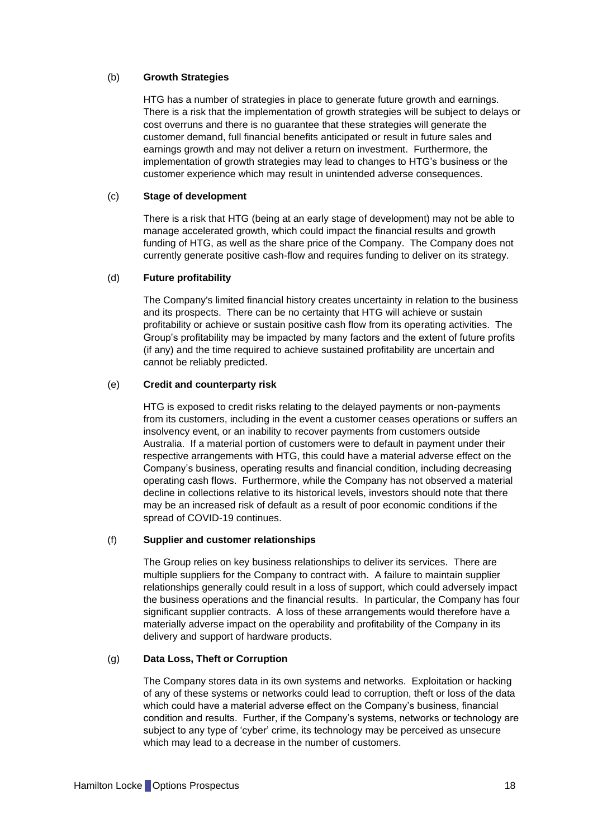#### (b) **Growth Strategies**

HTG has a number of strategies in place to generate future growth and earnings. There is a risk that the implementation of growth strategies will be subject to delays or cost overruns and there is no guarantee that these strategies will generate the customer demand, full financial benefits anticipated or result in future sales and earnings growth and may not deliver a return on investment. Furthermore, the implementation of growth strategies may lead to changes to HTG's business or the customer experience which may result in unintended adverse consequences.

#### (c) **Stage of development**

There is a risk that HTG (being at an early stage of development) may not be able to manage accelerated growth, which could impact the financial results and growth funding of HTG, as well as the share price of the Company. The Company does not currently generate positive cash-flow and requires funding to deliver on its strategy.

#### (d) **Future profitability**

The Company's limited financial history creates uncertainty in relation to the business and its prospects. There can be no certainty that HTG will achieve or sustain profitability or achieve or sustain positive cash flow from its operating activities. The Group's profitability may be impacted by many factors and the extent of future profits (if any) and the time required to achieve sustained profitability are uncertain and cannot be reliably predicted.

#### (e) **Credit and counterparty risk**

HTG is exposed to credit risks relating to the delayed payments or non-payments from its customers, including in the event a customer ceases operations or suffers an insolvency event, or an inability to recover payments from customers outside Australia. If a material portion of customers were to default in payment under their respective arrangements with HTG, this could have a material adverse effect on the Company's business, operating results and financial condition, including decreasing operating cash flows. Furthermore, while the Company has not observed a material decline in collections relative to its historical levels, investors should note that there may be an increased risk of default as a result of poor economic conditions if the spread of COVID-19 continues.

#### (f) **Supplier and customer relationships**

The Group relies on key business relationships to deliver its services. There are multiple suppliers for the Company to contract with. A failure to maintain supplier relationships generally could result in a loss of support, which could adversely impact the business operations and the financial results. In particular, the Company has four significant supplier contracts. A loss of these arrangements would therefore have a materially adverse impact on the operability and profitability of the Company in its delivery and support of hardware products.

#### (g) **Data Loss, Theft or Corruption**

The Company stores data in its own systems and networks. Exploitation or hacking of any of these systems or networks could lead to corruption, theft or loss of the data which could have a material adverse effect on the Company's business, financial condition and results. Further, if the Company's systems, networks or technology are subject to any type of 'cyber' crime, its technology may be perceived as unsecure which may lead to a decrease in the number of customers.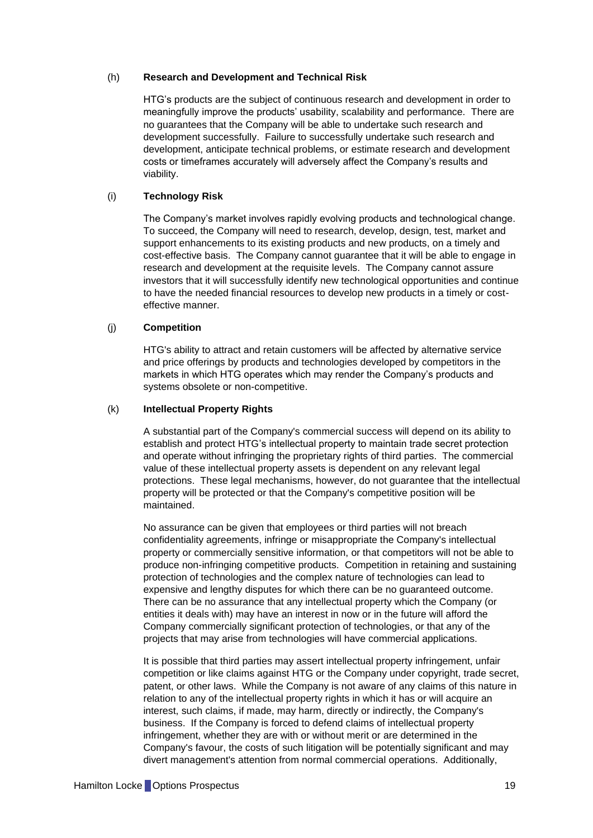#### (h) **Research and Development and Technical Risk**

HTG's products are the subject of continuous research and development in order to meaningfully improve the products' usability, scalability and performance. There are no guarantees that the Company will be able to undertake such research and development successfully. Failure to successfully undertake such research and development, anticipate technical problems, or estimate research and development costs or timeframes accurately will adversely affect the Company's results and viability.

#### (i) **Technology Risk**

The Company's market involves rapidly evolving products and technological change. To succeed, the Company will need to research, develop, design, test, market and support enhancements to its existing products and new products, on a timely and cost-effective basis. The Company cannot guarantee that it will be able to engage in research and development at the requisite levels. The Company cannot assure investors that it will successfully identify new technological opportunities and continue to have the needed financial resources to develop new products in a timely or costeffective manner.

#### (j) **Competition**

HTG's ability to attract and retain customers will be affected by alternative service and price offerings by products and technologies developed by competitors in the markets in which HTG operates which may render the Company's products and systems obsolete or non-competitive.

#### (k) **Intellectual Property Rights**

A substantial part of the Company's commercial success will depend on its ability to establish and protect HTG's intellectual property to maintain trade secret protection and operate without infringing the proprietary rights of third parties. The commercial value of these intellectual property assets is dependent on any relevant legal protections. These legal mechanisms, however, do not guarantee that the intellectual property will be protected or that the Company's competitive position will be maintained.

No assurance can be given that employees or third parties will not breach confidentiality agreements, infringe or misappropriate the Company's intellectual property or commercially sensitive information, or that competitors will not be able to produce non-infringing competitive products. Competition in retaining and sustaining protection of technologies and the complex nature of technologies can lead to expensive and lengthy disputes for which there can be no guaranteed outcome. There can be no assurance that any intellectual property which the Company (or entities it deals with) may have an interest in now or in the future will afford the Company commercially significant protection of technologies, or that any of the projects that may arise from technologies will have commercial applications.

It is possible that third parties may assert intellectual property infringement, unfair competition or like claims against HTG or the Company under copyright, trade secret, patent, or other laws. While the Company is not aware of any claims of this nature in relation to any of the intellectual property rights in which it has or will acquire an interest, such claims, if made, may harm, directly or indirectly, the Company's business. If the Company is forced to defend claims of intellectual property infringement, whether they are with or without merit or are determined in the Company's favour, the costs of such litigation will be potentially significant and may divert management's attention from normal commercial operations. Additionally,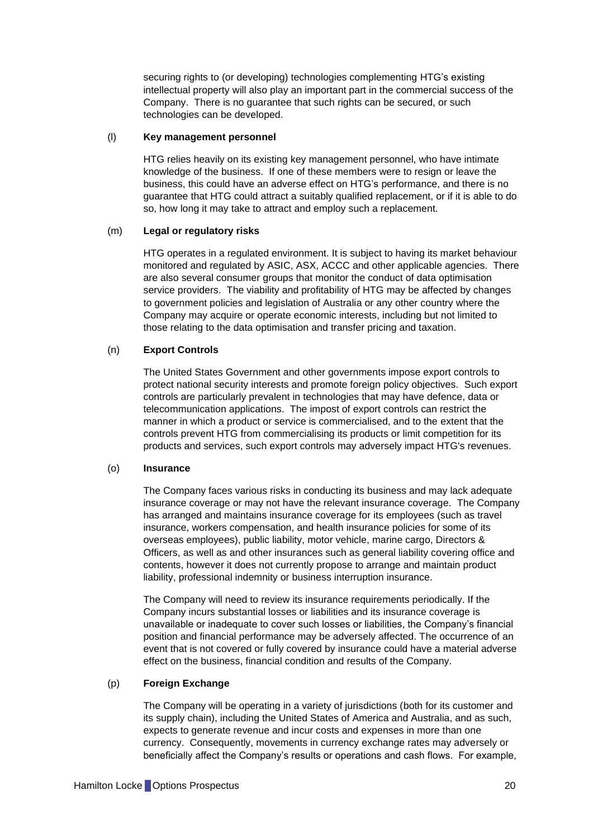securing rights to (or developing) technologies complementing HTG's existing intellectual property will also play an important part in the commercial success of the Company. There is no guarantee that such rights can be secured, or such technologies can be developed.

#### (l) **Key management personnel**

HTG relies heavily on its existing key management personnel, who have intimate knowledge of the business. If one of these members were to resign or leave the business, this could have an adverse effect on HTG's performance, and there is no guarantee that HTG could attract a suitably qualified replacement, or if it is able to do so, how long it may take to attract and employ such a replacement.

#### (m) **Legal or regulatory risks**

HTG operates in a regulated environment. It is subject to having its market behaviour monitored and regulated by ASIC, ASX, ACCC and other applicable agencies. There are also several consumer groups that monitor the conduct of data optimisation service providers. The viability and profitability of HTG may be affected by changes to government policies and legislation of Australia or any other country where the Company may acquire or operate economic interests, including but not limited to those relating to the data optimisation and transfer pricing and taxation.

#### (n) **Export Controls**

The United States Government and other governments impose export controls to protect national security interests and promote foreign policy objectives. Such export controls are particularly prevalent in technologies that may have defence, data or telecommunication applications. The impost of export controls can restrict the manner in which a product or service is commercialised, and to the extent that the controls prevent HTG from commercialising its products or limit competition for its products and services, such export controls may adversely impact HTG's revenues.

#### (o) **Insurance**

The Company faces various risks in conducting its business and may lack adequate insurance coverage or may not have the relevant insurance coverage. The Company has arranged and maintains insurance coverage for its employees (such as travel insurance, workers compensation, and health insurance policies for some of its overseas employees), public liability, motor vehicle, marine cargo, Directors & Officers, as well as and other insurances such as general liability covering office and contents, however it does not currently propose to arrange and maintain product liability, professional indemnity or business interruption insurance.

The Company will need to review its insurance requirements periodically. If the Company incurs substantial losses or liabilities and its insurance coverage is unavailable or inadequate to cover such losses or liabilities, the Company's financial position and financial performance may be adversely affected. The occurrence of an event that is not covered or fully covered by insurance could have a material adverse effect on the business, financial condition and results of the Company.

#### (p) **Foreign Exchange**

The Company will be operating in a variety of jurisdictions (both for its customer and its supply chain), including the United States of America and Australia, and as such, expects to generate revenue and incur costs and expenses in more than one currency. Consequently, movements in currency exchange rates may adversely or beneficially affect the Company's results or operations and cash flows. For example,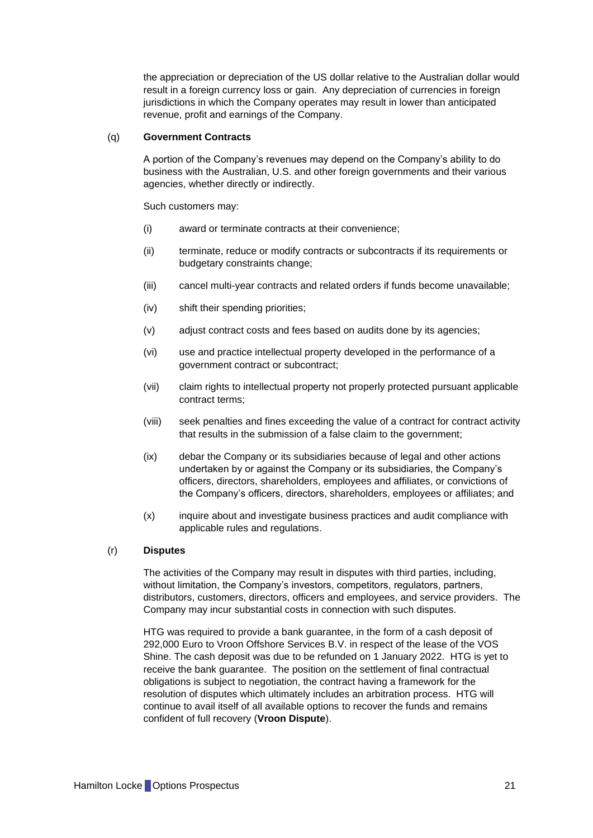the appreciation or depreciation of the US dollar relative to the Australian dollar would result in a foreign currency loss or gain. Any depreciation of currencies in foreign jurisdictions in which the Company operates may result in lower than anticipated revenue, profit and earnings of the Company.

#### (q) **Government Contracts**

A portion of the Company's revenues may depend on the Company's ability to do business with the Australian, U.S. and other foreign governments and their various agencies, whether directly or indirectly.

Such customers may:

- (i) award or terminate contracts at their convenience;
- (ii) terminate, reduce or modify contracts or subcontracts if its requirements or budgetary constraints change;
- (iii) cancel multi-year contracts and related orders if funds become unavailable;
- (iv) shift their spending priorities;
- (v) adjust contract costs and fees based on audits done by its agencies;
- (vi) use and practice intellectual property developed in the performance of a government contract or subcontract;
- (vii) claim rights to intellectual property not properly protected pursuant applicable contract terms;
- (viii) seek penalties and fines exceeding the value of a contract for contract activity that results in the submission of a false claim to the government;
- (ix) debar the Company or its subsidiaries because of legal and other actions undertaken by or against the Company or its subsidiaries, the Company's officers, directors, shareholders, employees and affiliates, or convictions of the Company's officers, directors, shareholders, employees or affiliates; and
- (x) inquire about and investigate business practices and audit compliance with applicable rules and regulations.

#### <span id="page-21-0"></span>(r) **Disputes**

The activities of the Company may result in disputes with third parties, including, without limitation, the Company's investors, competitors, regulators, partners, distributors, customers, directors, officers and employees, and service providers. The Company may incur substantial costs in connection with such disputes.

HTG was required to provide a bank guarantee, in the form of a cash deposit of 292,000 Euro to Vroon Offshore Services B.V. in respect of the lease of the VOS Shine. The cash deposit was due to be refunded on 1 January 2022. HTG is yet to receive the bank guarantee. The position on the settlement of final contractual obligations is subject to negotiation, the contract having a framework for the resolution of disputes which ultimately includes an arbitration process. HTG will continue to avail itself of all available options to recover the funds and remains confident of full recovery (**Vroon Dispute**).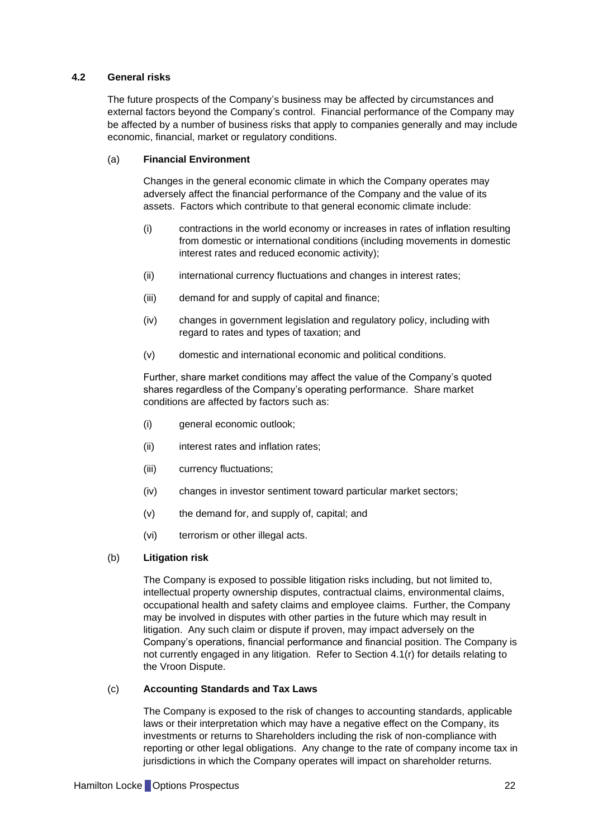#### **4.2 General risks**

The future prospects of the Company's business may be affected by circumstances and external factors beyond the Company's control. Financial performance of the Company may be affected by a number of business risks that apply to companies generally and may include economic, financial, market or regulatory conditions.

#### (a) **Financial Environment**

Changes in the general economic climate in which the Company operates may adversely affect the financial performance of the Company and the value of its assets. Factors which contribute to that general economic climate include:

- (i) contractions in the world economy or increases in rates of inflation resulting from domestic or international conditions (including movements in domestic interest rates and reduced economic activity);
- (ii) international currency fluctuations and changes in interest rates;
- (iii) demand for and supply of capital and finance;
- (iv) changes in government legislation and regulatory policy, including with regard to rates and types of taxation; and
- (v) domestic and international economic and political conditions.

Further, share market conditions may affect the value of the Company's quoted shares regardless of the Company's operating performance. Share market conditions are affected by factors such as:

- (i) general economic outlook;
- (ii) interest rates and inflation rates;
- (iii) currency fluctuations;
- (iv) changes in investor sentiment toward particular market sectors;
- (v) the demand for, and supply of, capital; and
- (vi) terrorism or other illegal acts.

#### (b) **Litigation risk**

The Company is exposed to possible litigation risks including, but not limited to, intellectual property ownership disputes, contractual claims, environmental claims, occupational health and safety claims and employee claims. Further, the Company may be involved in disputes with other parties in the future which may result in litigation. Any such claim or dispute if proven, may impact adversely on the Company's operations, financial performance and financial position. The Company is not currently engaged in any litigation. Refer to Section [4.1\(r\)](#page-21-0) for details relating to the Vroon Dispute.

#### (c) **Accounting Standards and Tax Laws**

The Company is exposed to the risk of changes to accounting standards, applicable laws or their interpretation which may have a negative effect on the Company, its investments or returns to Shareholders including the risk of non-compliance with reporting or other legal obligations. Any change to the rate of company income tax in jurisdictions in which the Company operates will impact on shareholder returns.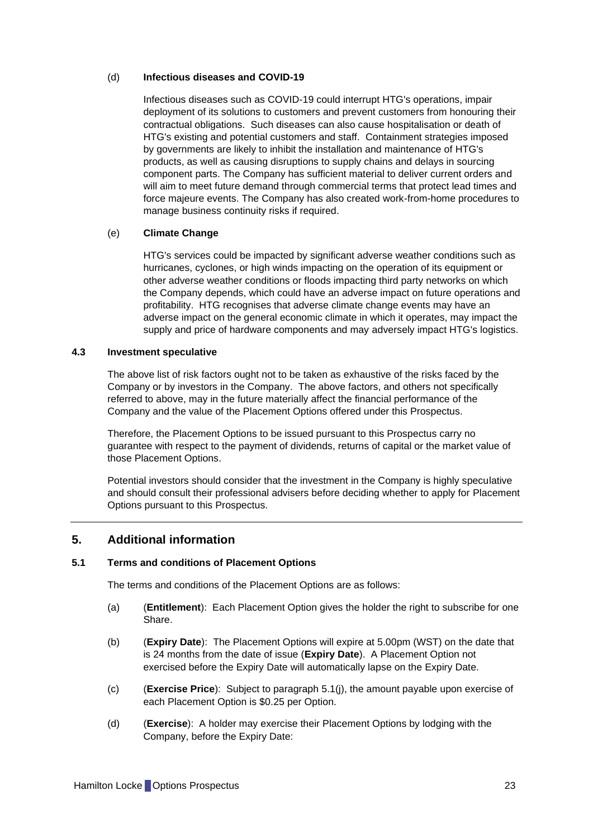#### (d) **Infectious diseases and COVID-19**

Infectious diseases such as COVID-19 could interrupt HTG's operations, impair deployment of its solutions to customers and prevent customers from honouring their contractual obligations. Such diseases can also cause hospitalisation or death of HTG's existing and potential customers and staff. Containment strategies imposed by governments are likely to inhibit the installation and maintenance of HTG's products, as well as causing disruptions to supply chains and delays in sourcing component parts. The Company has sufficient material to deliver current orders and will aim to meet future demand through commercial terms that protect lead times and force majeure events. The Company has also created work-from-home procedures to manage business continuity risks if required.

#### (e) **Climate Change**

HTG's services could be impacted by significant adverse weather conditions such as hurricanes, cyclones, or high winds impacting on the operation of its equipment or other adverse weather conditions or floods impacting third party networks on which the Company depends, which could have an adverse impact on future operations and profitability. HTG recognises that adverse climate change events may have an adverse impact on the general economic climate in which it operates, may impact the supply and price of hardware components and may adversely impact HTG's logistics.

#### **4.3 Investment speculative**

The above list of risk factors ought not to be taken as exhaustive of the risks faced by the Company or by investors in the Company. The above factors, and others not specifically referred to above, may in the future materially affect the financial performance of the Company and the value of the Placement Options offered under this Prospectus.

Therefore, the Placement Options to be issued pursuant to this Prospectus carry no guarantee with respect to the payment of dividends, returns of capital or the market value of those Placement Options.

Potential investors should consider that the investment in the Company is highly speculative and should consult their professional advisers before deciding whether to apply for Placement Options pursuant to this Prospectus.

## <span id="page-23-0"></span>**5. Additional information**

#### **5.1 Terms and conditions of Placement Options**

The terms and conditions of the Placement Options are as follows:

- (a) (**Entitlement**): Each Placement Option gives the holder the right to subscribe for one Share.
- (b) (**Expiry Date**): The Placement Options will expire at 5.00pm (WST) on the date that is 24 months from the date of issue (**Expiry Date**). A Placement Option not exercised before the Expiry Date will automatically lapse on the Expiry Date.
- (c) (**Exercise Price**): Subject to paragraph [5.1\(j\),](#page-24-0) the amount payable upon exercise of each Placement Option is \$0.25 per Option.
- (d) (**Exercise**): A holder may exercise their Placement Options by lodging with the Company, before the Expiry Date: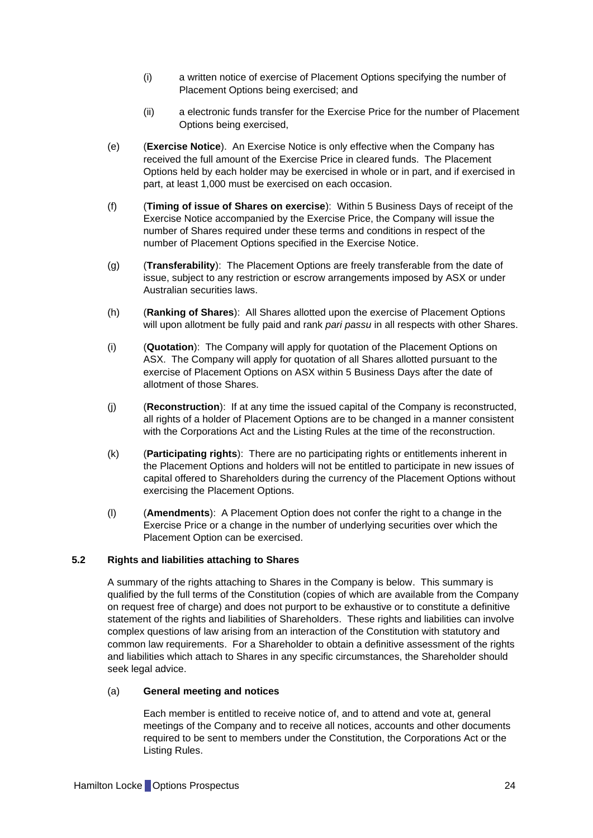- (i) a written notice of exercise of Placement Options specifying the number of Placement Options being exercised; and
- (ii) a electronic funds transfer for the Exercise Price for the number of Placement Options being exercised,
- (e) (**Exercise Notice**). An Exercise Notice is only effective when the Company has received the full amount of the Exercise Price in cleared funds. The Placement Options held by each holder may be exercised in whole or in part, and if exercised in part, at least 1,000 must be exercised on each occasion.
- (f) (**Timing of issue of Shares on exercise**): Within 5 Business Days of receipt of the Exercise Notice accompanied by the Exercise Price, the Company will issue the number of Shares required under these terms and conditions in respect of the number of Placement Options specified in the Exercise Notice.
- (g) (**Transferability**): The Placement Options are freely transferable from the date of issue, subject to any restriction or escrow arrangements imposed by ASX or under Australian securities laws.
- (h) (**Ranking of Shares**): All Shares allotted upon the exercise of Placement Options will upon allotment be fully paid and rank *pari passu* in all respects with other Shares.
- (i) (**Quotation**): The Company will apply for quotation of the Placement Options on ASX. The Company will apply for quotation of all Shares allotted pursuant to the exercise of Placement Options on ASX within 5 Business Days after the date of allotment of those Shares.
- <span id="page-24-0"></span>(j) (**Reconstruction**): If at any time the issued capital of the Company is reconstructed, all rights of a holder of Placement Options are to be changed in a manner consistent with the Corporations Act and the Listing Rules at the time of the reconstruction.
- (k) (**Participating rights**): There are no participating rights or entitlements inherent in the Placement Options and holders will not be entitled to participate in new issues of capital offered to Shareholders during the currency of the Placement Options without exercising the Placement Options.
- (l) (**Amendments**): A Placement Option does not confer the right to a change in the Exercise Price or a change in the number of underlying securities over which the Placement Option can be exercised.

#### **5.2 Rights and liabilities attaching to Shares**

A summary of the rights attaching to Shares in the Company is below. This summary is qualified by the full terms of the Constitution (copies of which are available from the Company on request free of charge) and does not purport to be exhaustive or to constitute a definitive statement of the rights and liabilities of Shareholders. These rights and liabilities can involve complex questions of law arising from an interaction of the Constitution with statutory and common law requirements. For a Shareholder to obtain a definitive assessment of the rights and liabilities which attach to Shares in any specific circumstances, the Shareholder should seek legal advice.

### (a) **General meeting and notices**

Each member is entitled to receive notice of, and to attend and vote at, general meetings of the Company and to receive all notices, accounts and other documents required to be sent to members under the Constitution, the Corporations Act or the Listing Rules.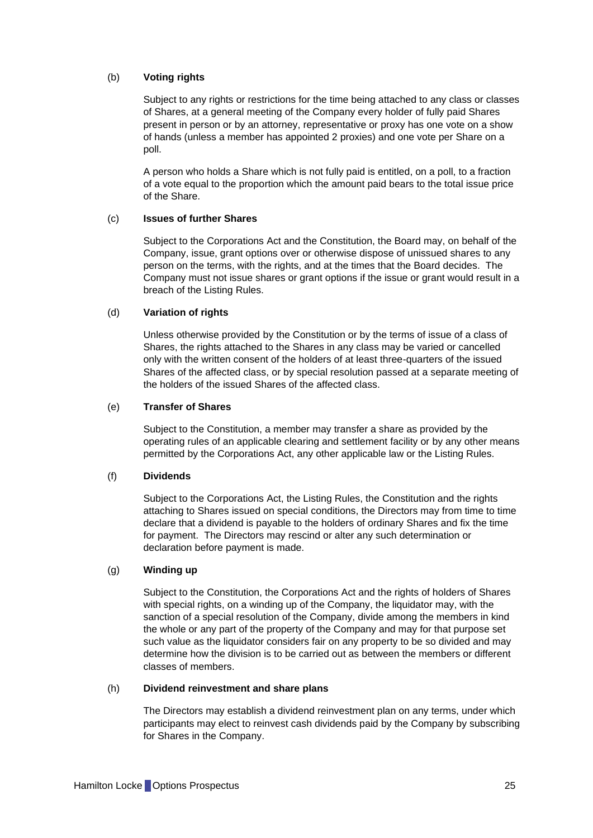#### (b) **Voting rights**

Subject to any rights or restrictions for the time being attached to any class or classes of Shares, at a general meeting of the Company every holder of fully paid Shares present in person or by an attorney, representative or proxy has one vote on a show of hands (unless a member has appointed 2 proxies) and one vote per Share on a poll.

A person who holds a Share which is not fully paid is entitled, on a poll, to a fraction of a vote equal to the proportion which the amount paid bears to the total issue price of the Share.

### (c) **Issues of further Shares**

Subject to the Corporations Act and the Constitution, the Board may, on behalf of the Company, issue, grant options over or otherwise dispose of unissued shares to any person on the terms, with the rights, and at the times that the Board decides. The Company must not issue shares or grant options if the issue or grant would result in a breach of the Listing Rules.

#### (d) **Variation of rights**

Unless otherwise provided by the Constitution or by the terms of issue of a class of Shares, the rights attached to the Shares in any class may be varied or cancelled only with the written consent of the holders of at least three-quarters of the issued Shares of the affected class, or by special resolution passed at a separate meeting of the holders of the issued Shares of the affected class.

#### (e) **Transfer of Shares**

Subject to the Constitution, a member may transfer a share as provided by the operating rules of an applicable clearing and settlement facility or by any other means permitted by the Corporations Act, any other applicable law or the Listing Rules.

#### (f) **Dividends**

Subject to the Corporations Act, the Listing Rules, the Constitution and the rights attaching to Shares issued on special conditions, the Directors may from time to time declare that a dividend is payable to the holders of ordinary Shares and fix the time for payment. The Directors may rescind or alter any such determination or declaration before payment is made.

#### (g) **Winding up**

Subject to the Constitution, the Corporations Act and the rights of holders of Shares with special rights, on a winding up of the Company, the liquidator may, with the sanction of a special resolution of the Company, divide among the members in kind the whole or any part of the property of the Company and may for that purpose set such value as the liquidator considers fair on any property to be so divided and may determine how the division is to be carried out as between the members or different classes of members.

#### (h) **Dividend reinvestment and share plans**

The Directors may establish a dividend reinvestment plan on any terms, under which participants may elect to reinvest cash dividends paid by the Company by subscribing for Shares in the Company.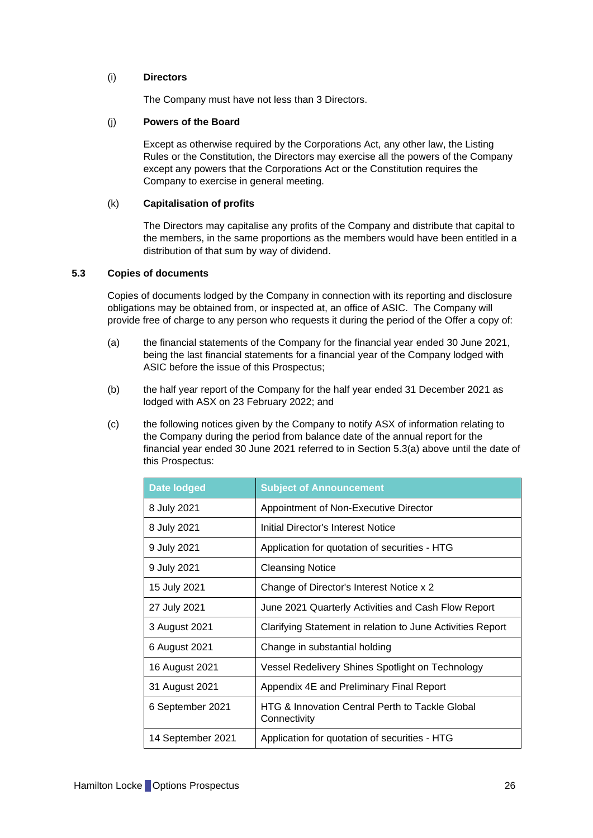#### (i) **Directors**

The Company must have not less than 3 Directors.

#### (j) **Powers of the Board**

Except as otherwise required by the Corporations Act, any other law, the Listing Rules or the Constitution, the Directors may exercise all the powers of the Company except any powers that the Corporations Act or the Constitution requires the Company to exercise in general meeting.

#### (k) **Capitalisation of profits**

The Directors may capitalise any profits of the Company and distribute that capital to the members, in the same proportions as the members would have been entitled in a distribution of that sum by way of dividend.

#### <span id="page-26-0"></span>**5.3 Copies of documents**

Copies of documents lodged by the Company in connection with its reporting and disclosure obligations may be obtained from, or inspected at, an office of ASIC. The Company will provide free of charge to any person who requests it during the period of the Offer a copy of:

- <span id="page-26-1"></span>(a) the financial statements of the Company for the financial year ended 30 June 2021, being the last financial statements for a financial year of the Company lodged with ASIC before the issue of this Prospectus;
- (b) the half year report of the Company for the half year ended 31 December 2021 as lodged with ASX on 23 February 2022; and
- (c) the following notices given by the Company to notify ASX of information relating to the Company during the period from balance date of the annual report for the financial year ended 30 June 2021 referred to in Section [5.3\(a\)](#page-26-1) above until the date of this Prospectus:

| <b>Date lodged</b> | <b>Subject of Announcement</b>                                             |  |
|--------------------|----------------------------------------------------------------------------|--|
| 8 July 2021        | Appointment of Non-Executive Director                                      |  |
| 8 July 2021        | Initial Director's Interest Notice                                         |  |
| 9 July 2021        | Application for quotation of securities - HTG                              |  |
| 9 July 2021        | <b>Cleansing Notice</b>                                                    |  |
| 15 July 2021       | Change of Director's Interest Notice x 2                                   |  |
| 27 July 2021       | June 2021 Quarterly Activities and Cash Flow Report                        |  |
| 3 August 2021      | Clarifying Statement in relation to June Activities Report                 |  |
| 6 August 2021      | Change in substantial holding                                              |  |
| 16 August 2021     | Vessel Redelivery Shines Spotlight on Technology                           |  |
| 31 August 2021     | Appendix 4E and Preliminary Final Report                                   |  |
| 6 September 2021   | <b>HTG &amp; Innovation Central Perth to Tackle Global</b><br>Connectivity |  |
| 14 September 2021  | Application for quotation of securities - HTG                              |  |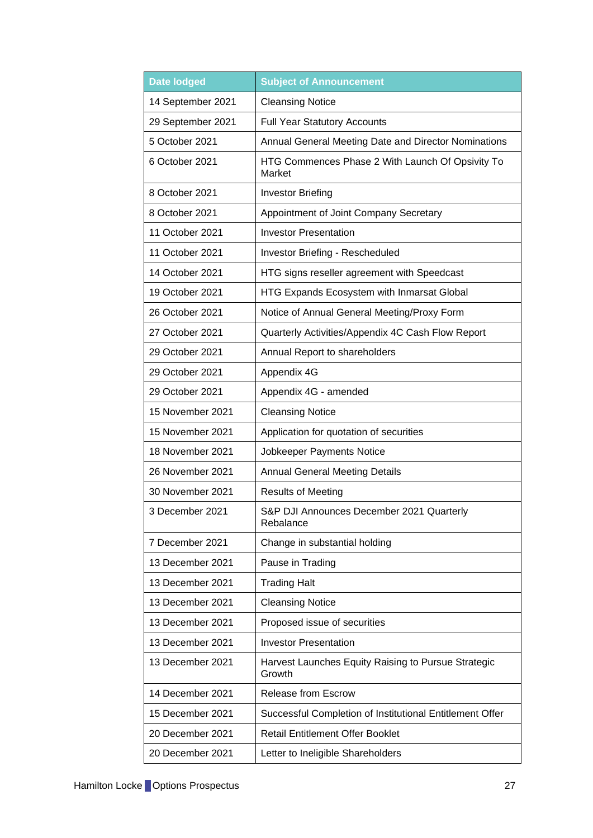| <b>Date lodged</b> | <b>Subject of Announcement</b>                                |  |
|--------------------|---------------------------------------------------------------|--|
| 14 September 2021  | <b>Cleansing Notice</b>                                       |  |
| 29 September 2021  | <b>Full Year Statutory Accounts</b>                           |  |
| 5 October 2021     | Annual General Meeting Date and Director Nominations          |  |
| 6 October 2021     | HTG Commences Phase 2 With Launch Of Opsivity To<br>Market    |  |
| 8 October 2021     | <b>Investor Briefing</b>                                      |  |
| 8 October 2021     | Appointment of Joint Company Secretary                        |  |
| 11 October 2021    | <b>Investor Presentation</b>                                  |  |
| 11 October 2021    | Investor Briefing - Rescheduled                               |  |
| 14 October 2021    | HTG signs reseller agreement with Speedcast                   |  |
| 19 October 2021    | HTG Expands Ecosystem with Inmarsat Global                    |  |
| 26 October 2021    | Notice of Annual General Meeting/Proxy Form                   |  |
| 27 October 2021    | Quarterly Activities/Appendix 4C Cash Flow Report             |  |
| 29 October 2021    | Annual Report to shareholders                                 |  |
| 29 October 2021    | Appendix 4G                                                   |  |
| 29 October 2021    | Appendix 4G - amended                                         |  |
| 15 November 2021   | <b>Cleansing Notice</b>                                       |  |
| 15 November 2021   | Application for quotation of securities                       |  |
| 18 November 2021   | Jobkeeper Payments Notice                                     |  |
| 26 November 2021   | <b>Annual General Meeting Details</b>                         |  |
| 30 November 2021   | <b>Results of Meeting</b>                                     |  |
| 3 December 2021    | S&P DJI Announces December 2021 Quarterly<br>Rebalance        |  |
| 7 December 2021    | Change in substantial holding                                 |  |
| 13 December 2021   | Pause in Trading                                              |  |
| 13 December 2021   | <b>Trading Halt</b>                                           |  |
| 13 December 2021   | <b>Cleansing Notice</b>                                       |  |
| 13 December 2021   | Proposed issue of securities                                  |  |
| 13 December 2021   | <b>Investor Presentation</b>                                  |  |
| 13 December 2021   | Harvest Launches Equity Raising to Pursue Strategic<br>Growth |  |
| 14 December 2021   | <b>Release from Escrow</b>                                    |  |
| 15 December 2021   | Successful Completion of Institutional Entitlement Offer      |  |
| 20 December 2021   | <b>Retail Entitlement Offer Booklet</b>                       |  |
| 20 December 2021   | Letter to Ineligible Shareholders                             |  |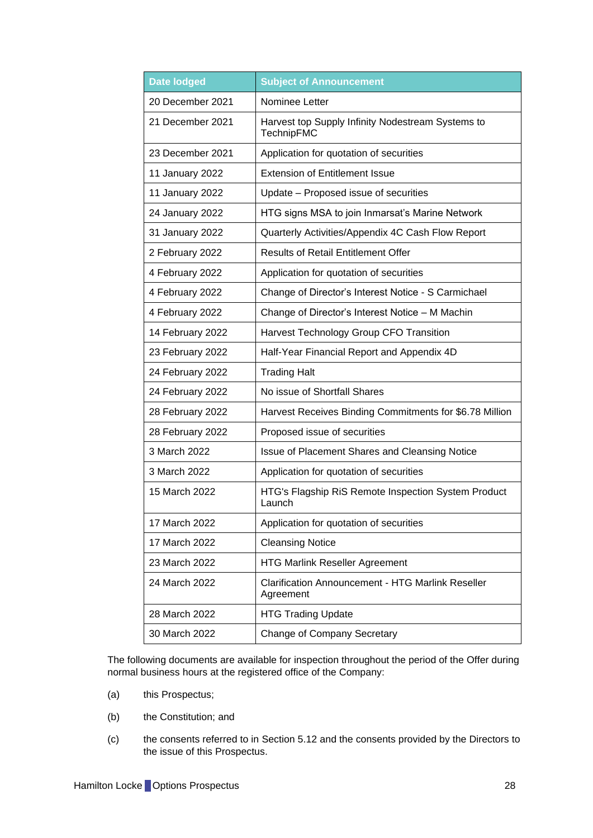| <b>Date lodged</b> | <b>Subject of Announcement</b>                                        |  |
|--------------------|-----------------------------------------------------------------------|--|
| 20 December 2021   | Nominee Letter                                                        |  |
| 21 December 2021   | Harvest top Supply Infinity Nodestream Systems to<br>TechnipFMC       |  |
| 23 December 2021   | Application for quotation of securities                               |  |
| 11 January 2022    | <b>Extension of Entitlement Issue</b>                                 |  |
| 11 January 2022    | Update - Proposed issue of securities                                 |  |
| 24 January 2022    | HTG signs MSA to join Inmarsat's Marine Network                       |  |
| 31 January 2022    | Quarterly Activities/Appendix 4C Cash Flow Report                     |  |
| 2 February 2022    | <b>Results of Retail Entitlement Offer</b>                            |  |
| 4 February 2022    | Application for quotation of securities                               |  |
| 4 February 2022    | Change of Director's Interest Notice - S Carmichael                   |  |
| 4 February 2022    | Change of Director's Interest Notice - M Machin                       |  |
| 14 February 2022   | Harvest Technology Group CFO Transition                               |  |
| 23 February 2022   | Half-Year Financial Report and Appendix 4D                            |  |
| 24 February 2022   | <b>Trading Halt</b>                                                   |  |
| 24 February 2022   | No issue of Shortfall Shares                                          |  |
| 28 February 2022   | Harvest Receives Binding Commitments for \$6.78 Million               |  |
| 28 February 2022   | Proposed issue of securities                                          |  |
| 3 March 2022       | <b>Issue of Placement Shares and Cleansing Notice</b>                 |  |
| 3 March 2022       | Application for quotation of securities                               |  |
| 15 March 2022      | HTG's Flagship RiS Remote Inspection System Product<br>Launch         |  |
| 17 March 2022      | Application for quotation of securities                               |  |
| 17 March 2022      | <b>Cleansing Notice</b>                                               |  |
| 23 March 2022      | <b>HTG Marlink Reseller Agreement</b>                                 |  |
| 24 March 2022      | <b>Clarification Announcement - HTG Marlink Reseller</b><br>Agreement |  |
| 28 March 2022      | <b>HTG Trading Update</b>                                             |  |
| 30 March 2022      | <b>Change of Company Secretary</b>                                    |  |

The following documents are available for inspection throughout the period of the Offer during normal business hours at the registered office of the Company:

- (a) this Prospectus;
- (b) the Constitution; and
- (c) the consents referred to in Section [5.12](#page-32-1) and the consents provided by the Directors to the issue of this Prospectus.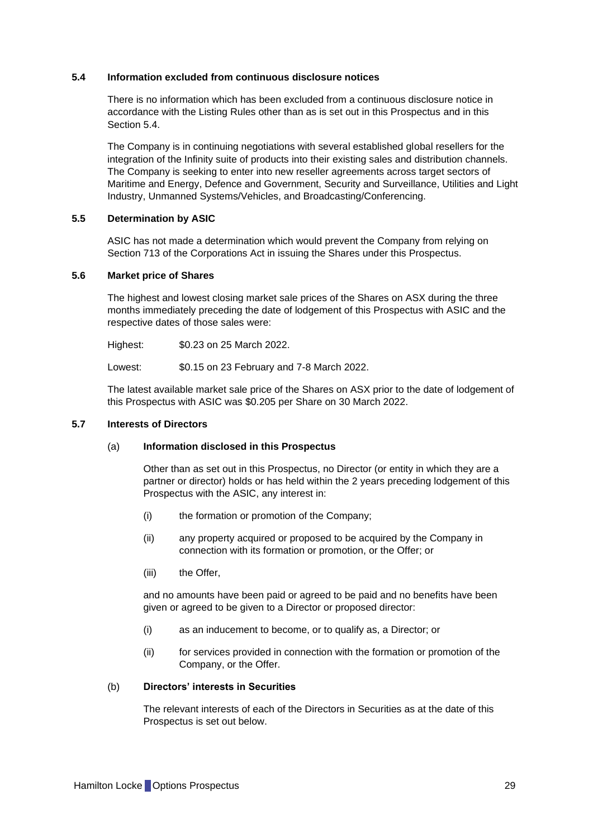#### <span id="page-29-1"></span>**5.4 Information excluded from continuous disclosure notices**

There is no information which has been excluded from a continuous disclosure notice in accordance with the Listing Rules other than as is set out in this Prospectus and in this Section [5.4.](#page-29-1)

The Company is in continuing negotiations with several established global resellers for the integration of the Infinity suite of products into their existing sales and distribution channels. The Company is seeking to enter into new reseller agreements across target sectors of Maritime and Energy, Defence and Government, Security and Surveillance, Utilities and Light Industry, Unmanned Systems/Vehicles, and Broadcasting/Conferencing.

#### **5.5 Determination by ASIC**

ASIC has not made a determination which would prevent the Company from relying on Section 713 of the Corporations Act in issuing the Shares under this Prospectus.

#### **5.6 Market price of Shares**

The highest and lowest closing market sale prices of the Shares on ASX during the three months immediately preceding the date of lodgement of this Prospectus with ASIC and the respective dates of those sales were:

Highest: \$0.23 on 25 March 2022.

Lowest: \$0.15 on 23 February and 7-8 March 2022.

The latest available market sale price of the Shares on ASX prior to the date of lodgement of this Prospectus with ASIC was \$0.205 per Share on 30 March 2022.

#### <span id="page-29-0"></span>**5.7 Interests of Directors**

#### (a) **Information disclosed in this Prospectus**

Other than as set out in this Prospectus, no Director (or entity in which they are a partner or director) holds or has held within the 2 years preceding lodgement of this Prospectus with the ASIC, any interest in:

- (i) the formation or promotion of the Company;
- (ii) any property acquired or proposed to be acquired by the Company in connection with its formation or promotion, or the Offer; or
- (iii) the Offer,

and no amounts have been paid or agreed to be paid and no benefits have been given or agreed to be given to a Director or proposed director:

- (i) as an inducement to become, or to qualify as, a Director; or
- (ii) for services provided in connection with the formation or promotion of the Company, or the Offer.

#### (b) **Directors' interests in Securities**

The relevant interests of each of the Directors in Securities as at the date of this Prospectus is set out below.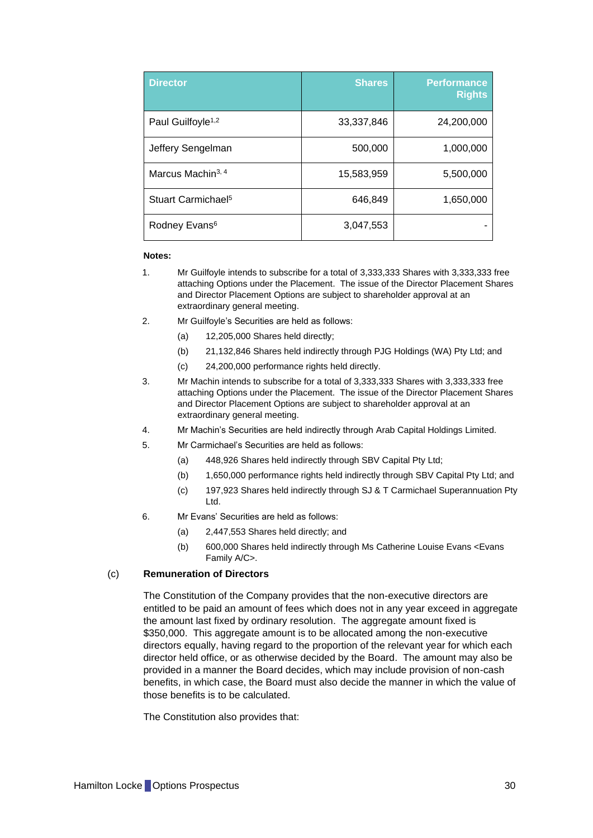| <b>Director</b>                | <b>Shares</b> | <b>Performance</b><br><b>Rights</b> |
|--------------------------------|---------------|-------------------------------------|
| Paul Guilfoyle <sup>1,2</sup>  | 33,337,846    | 24,200,000                          |
| Jeffery Sengelman              | 500,000       | 1,000,000                           |
| Marcus Machin <sup>3, 4</sup>  | 15,583,959    | 5,500,000                           |
| Stuart Carmichael <sup>5</sup> | 646,849       | 1,650,000                           |
| Rodney Evans <sup>6</sup>      | 3,047,553     |                                     |

#### **Notes:**

- 1. Mr Guilfoyle intends to subscribe for a total of 3,333,333 Shares with 3,333,333 free attaching Options under the Placement. The issue of the Director Placement Shares and Director Placement Options are subject to shareholder approval at an extraordinary general meeting.
- 2. Mr Guilfoyle's Securities are held as follows:
	- (a) 12,205,000 Shares held directly;
	- (b) 21,132,846 Shares held indirectly through PJG Holdings (WA) Pty Ltd; and
	- (c) 24,200,000 performance rights held directly.
- 3. Mr Machin intends to subscribe for a total of 3,333,333 Shares with 3,333,333 free attaching Options under the Placement. The issue of the Director Placement Shares and Director Placement Options are subject to shareholder approval at an extraordinary general meeting.
- 4. Mr Machin's Securities are held indirectly through Arab Capital Holdings Limited.
- 5. Mr Carmichael's Securities are held as follows:
	- (a) 448,926 Shares held indirectly through SBV Capital Pty Ltd;
	- (b) 1,650,000 performance rights held indirectly through SBV Capital Pty Ltd; and
	- (c) 197,923 Shares held indirectly through SJ & T Carmichael Superannuation Pty Ltd.
- 6. Mr Evans' Securities are held as follows:
	- (a) 2,447,553 Shares held directly; and
	- (b) 600,000 Shares held indirectly through Ms Catherine Louise Evans <Evans Family A/C>.

#### (c) **Remuneration of Directors**

The Constitution of the Company provides that the non-executive directors are entitled to be paid an amount of fees which does not in any year exceed in aggregate the amount last fixed by ordinary resolution. The aggregate amount fixed is \$350,000. This aggregate amount is to be allocated among the non-executive directors equally, having regard to the proportion of the relevant year for which each director held office, or as otherwise decided by the Board. The amount may also be provided in a manner the Board decides, which may include provision of non-cash benefits, in which case, the Board must also decide the manner in which the value of those benefits is to be calculated.

The Constitution also provides that: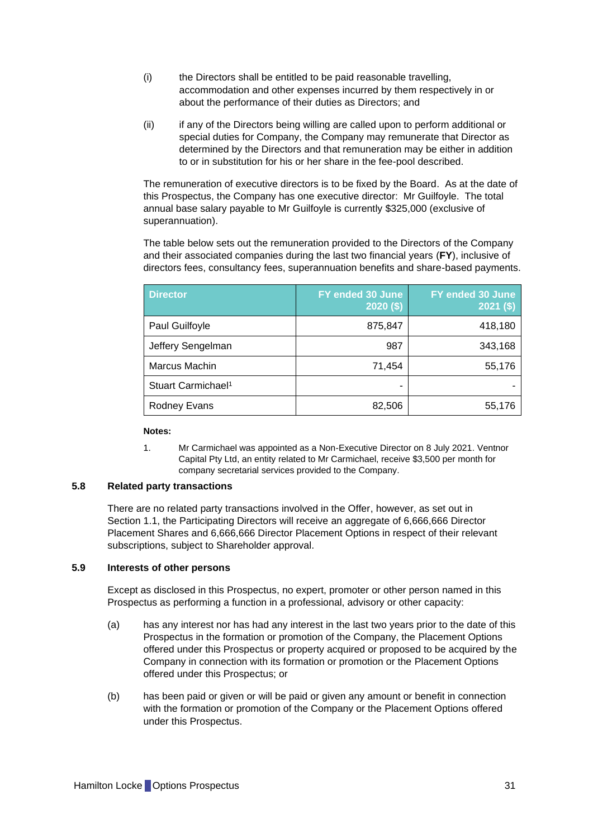- (i) the Directors shall be entitled to be paid reasonable travelling, accommodation and other expenses incurred by them respectively in or about the performance of their duties as Directors; and
- (ii) if any of the Directors being willing are called upon to perform additional or special duties for Company, the Company may remunerate that Director as determined by the Directors and that remuneration may be either in addition to or in substitution for his or her share in the fee-pool described.

The remuneration of executive directors is to be fixed by the Board. As at the date of this Prospectus, the Company has one executive director: Mr Guilfoyle. The total annual base salary payable to Mr Guilfoyle is currently \$325,000 (exclusive of superannuation).

The table below sets out the remuneration provided to the Directors of the Company and their associated companies during the last two financial years (**FY**), inclusive of directors fees, consultancy fees, superannuation benefits and share-based payments.

| <b>Director</b>                | FY ended 30 June<br>$2020($ \$) | FY ended 30 June<br>$2021($ \$) |
|--------------------------------|---------------------------------|---------------------------------|
| Paul Guilfoyle                 | 875,847                         | 418,180                         |
| Jeffery Sengelman              | 987                             | 343,168                         |
| Marcus Machin                  | 71,454                          | 55,176                          |
| Stuart Carmichael <sup>1</sup> |                                 |                                 |
| <b>Rodney Evans</b>            | 82,506                          | 55,176                          |

#### **Notes:**

1. Mr Carmichael was appointed as a Non-Executive Director on 8 July 2021. Ventnor Capital Pty Ltd, an entity related to Mr Carmichael, receive \$3,500 per month for company secretarial services provided to the Company.

#### **5.8 Related party transactions**

There are no related party transactions involved in the Offer, however, as set out in Section [1.1,](#page-9-1) the Participating Directors will receive an aggregate of 6,666,666 Director Placement Shares and 6,666,666 Director Placement Options in respect of their relevant subscriptions, subject to Shareholder approval.

#### **5.9 Interests of other persons**

Except as disclosed in this Prospectus, no expert, promoter or other person named in this Prospectus as performing a function in a professional, advisory or other capacity:

- (a) has any interest nor has had any interest in the last two years prior to the date of this Prospectus in the formation or promotion of the Company, the Placement Options offered under this Prospectus or property acquired or proposed to be acquired by the Company in connection with its formation or promotion or the Placement Options offered under this Prospectus; or
- (b) has been paid or given or will be paid or given any amount or benefit in connection with the formation or promotion of the Company or the Placement Options offered under this Prospectus.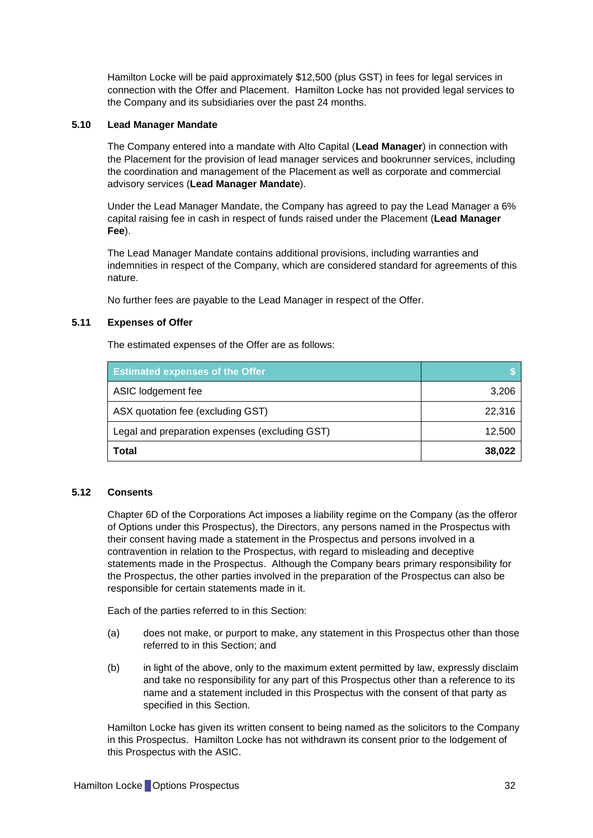Hamilton Locke will be paid approximately \$12,500 (plus GST) in fees for legal services in connection with the Offer and Placement. Hamilton Locke has not provided legal services to the Company and its subsidiaries over the past 24 months.

### <span id="page-32-2"></span>**5.10 Lead Manager Mandate**

The Company entered into a mandate with Alto Capital (**Lead Manager**) in connection with the Placement for the provision of lead manager services and bookrunner services, including the coordination and management of the Placement as well as corporate and commercial advisory services (**Lead Manager Mandate**).

Under the Lead Manager Mandate, the Company has agreed to pay the Lead Manager a 6% capital raising fee in cash in respect of funds raised under the Placement (**Lead Manager Fee**).

The Lead Manager Mandate contains additional provisions, including warranties and indemnities in respect of the Company, which are considered standard for agreements of this nature.

No further fees are payable to the Lead Manager in respect of the Offer.

#### <span id="page-32-0"></span>**5.11 Expenses of Offer**

The estimated expenses of the Offer are as follows:

| <b>Estimated expenses of the Offer</b>         |        |
|------------------------------------------------|--------|
| ASIC lodgement fee                             | 3,206  |
| ASX quotation fee (excluding GST)              | 22.316 |
| Legal and preparation expenses (excluding GST) | 12,500 |
| <b>Total</b>                                   | 38,022 |

#### <span id="page-32-1"></span>**5.12 Consents**

Chapter 6D of the Corporations Act imposes a liability regime on the Company (as the offeror of Options under this Prospectus), the Directors, any persons named in the Prospectus with their consent having made a statement in the Prospectus and persons involved in a contravention in relation to the Prospectus, with regard to misleading and deceptive statements made in the Prospectus. Although the Company bears primary responsibility for the Prospectus, the other parties involved in the preparation of the Prospectus can also be responsible for certain statements made in it.

Each of the parties referred to in this Section:

- (a) does not make, or purport to make, any statement in this Prospectus other than those referred to in this Section; and
- (b) in light of the above, only to the maximum extent permitted by law, expressly disclaim and take no responsibility for any part of this Prospectus other than a reference to its name and a statement included in this Prospectus with the consent of that party as specified in this Section.

Hamilton Locke has given its written consent to being named as the solicitors to the Company in this Prospectus. Hamilton Locke has not withdrawn its consent prior to the lodgement of this Prospectus with the ASIC.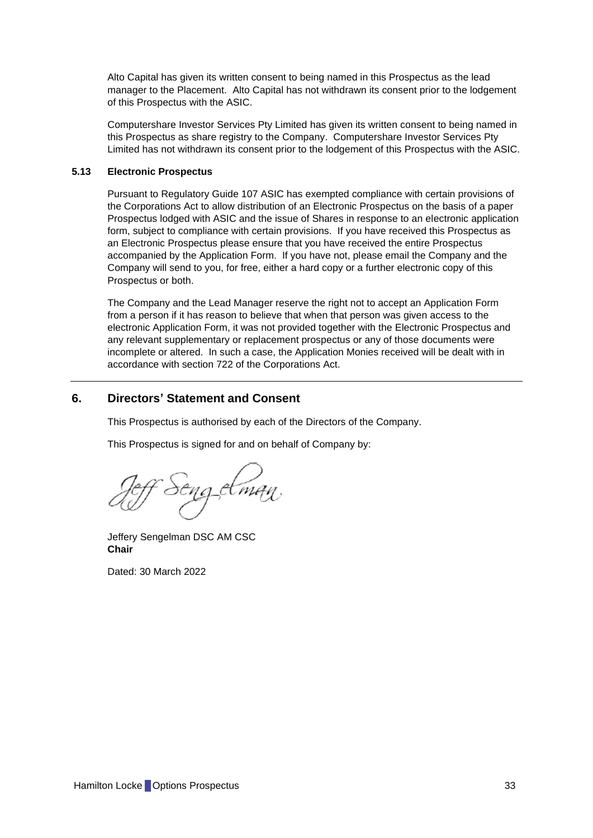Alto Capital has given its written consent to being named in this Prospectus as the lead manager to the Placement. Alto Capital has not withdrawn its consent prior to the lodgement of this Prospectus with the ASIC.

Computershare Investor Services Pty Limited has given its written consent to being named in this Prospectus as share registry to the Company. Computershare Investor Services Pty Limited has not withdrawn its consent prior to the lodgement of this Prospectus with the ASIC.

#### **5.13 Electronic Prospectus**

Pursuant to Regulatory Guide 107 ASIC has exempted compliance with certain provisions of the Corporations Act to allow distribution of an Electronic Prospectus on the basis of a paper Prospectus lodged with ASIC and the issue of Shares in response to an electronic application form, subject to compliance with certain provisions. If you have received this Prospectus as an Electronic Prospectus please ensure that you have received the entire Prospectus accompanied by the Application Form. If you have not, please email the Company and the Company will send to you, for free, either a hard copy or a further electronic copy of this Prospectus or both.

The Company and the Lead Manager reserve the right not to accept an Application Form from a person if it has reason to believe that when that person was given access to the electronic Application Form, it was not provided together with the Electronic Prospectus and any relevant supplementary or replacement prospectus or any of those documents were incomplete or altered. In such a case, the Application Monies received will be dealt with in accordance with section 722 of the Corporations Act.

## <span id="page-33-0"></span>**6. Directors' Statement and Consent**

This Prospectus is authorised by each of the Directors of the Company.

This Prospectus is signed for and on behalf of Company by:

Jeffery Sengelman DSC AM CSC **Chair**

Dated: 30 March 2022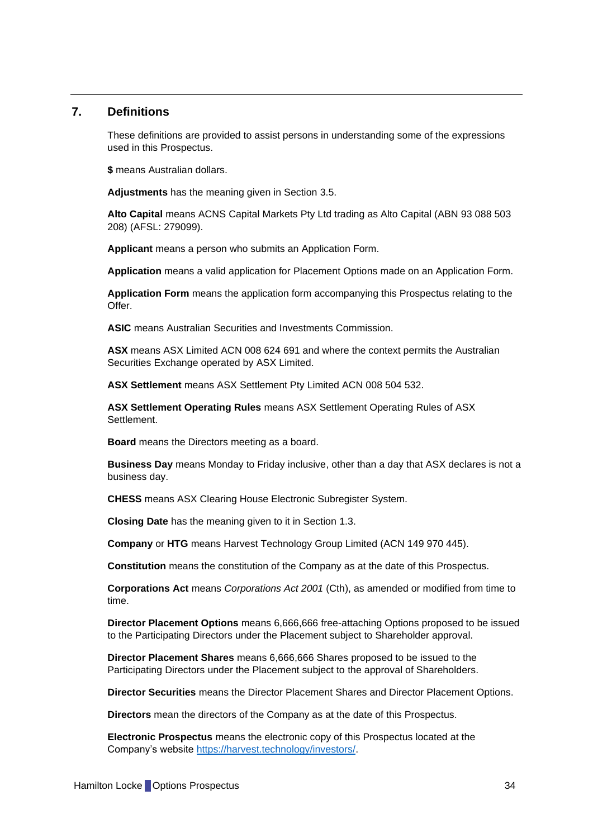## <span id="page-34-0"></span>**7. Definitions**

These definitions are provided to assist persons in understanding some of the expressions used in this Prospectus.

**\$** means Australian dollars.

**Adjustments** has the meaning given in Section [3.5.](#page-15-0)

**Alto Capital** means ACNS Capital Markets Pty Ltd trading as Alto Capital (ABN 93 088 503 208) (AFSL: 279099).

**Applicant** means a person who submits an Application Form.

**Application** means a valid application for Placement Options made on an Application Form.

**Application Form** means the application form accompanying this Prospectus relating to the Offer.

**ASIC** means Australian Securities and Investments Commission.

**ASX** means ASX Limited ACN 008 624 691 and where the context permits the Australian Securities Exchange operated by ASX Limited.

**ASX Settlement** means ASX Settlement Pty Limited ACN 008 504 532.

**ASX Settlement Operating Rules** means ASX Settlement Operating Rules of ASX Settlement.

**Board** means the Directors meeting as a board.

**Business Day** means Monday to Friday inclusive, other than a day that ASX declares is not a business day.

**CHESS** means ASX Clearing House Electronic Subregister System.

**Closing Date** has the meaning given to it in Section [1.3.](#page-10-1)

**Company** or **HTG** means Harvest Technology Group Limited (ACN 149 970 445).

**Constitution** means the constitution of the Company as at the date of this Prospectus.

**Corporations Act** means *Corporations Act 2001* (Cth), as amended or modified from time to time.

**Director Placement Options** means 6,666,666 free-attaching Options proposed to be issued to the Participating Directors under the Placement subject to Shareholder approval.

**Director Placement Shares** means 6,666,666 Shares proposed to be issued to the Participating Directors under the Placement subject to the approval of Shareholders.

**Director Securities** means the Director Placement Shares and Director Placement Options.

**Directors** mean the directors of the Company as at the date of this Prospectus.

**Electronic Prospectus** means the electronic copy of this Prospectus located at the Company's website [https://harvest.technology/investors/.](https://harvest.technology/investors/)